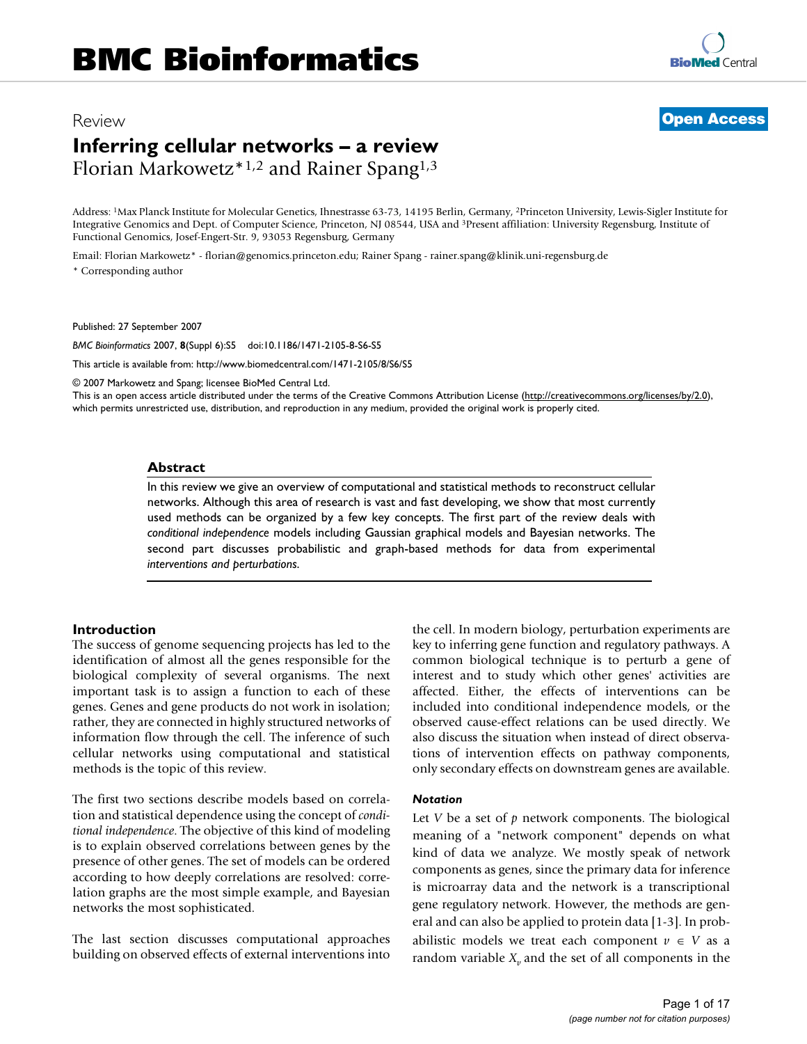# Review **[Open Access](http://www.biomedcentral.com/info/about/charter/) Inferring cellular networks – a review** Florian Markowetz\*1,2 and Rainer Spang1,3

Address: 1Max Planck Institute for Molecular Genetics, Ihnestrasse 63-73, 14195 Berlin, Germany, 2Princeton University, Lewis-Sigler Institute for Integrative Genomics and Dept. of Computer Science, Princeton, NJ 08544, USA and 3Present affiliation: University Regensburg, Institute of Functional Genomics, Josef-Engert-Str. 9, 93053 Regensburg, Germany

Email: Florian Markowetz\* - florian@genomics.princeton.edu; Rainer Spang - rainer.spang@klinik.uni-regensburg.de

\* Corresponding author

Published: 27 September 2007

*BMC Bioinformatics* 2007, **8**(Suppl 6):S5 doi:10.1186/1471-2105-8-S6-S5

[This article is available from: http://www.biomedcentral.com/1471-2105/8/S6/S5](http://www.biomedcentral.com/1471-2105/8/S6/S5)

© 2007 Markowetz and Spang; licensee BioMed Central Ltd.

This is an open access article distributed under the terms of the Creative Commons Attribution License [\(http://creativecommons.org/licenses/by/2.0\)](http://creativecommons.org/licenses/by/2.0), which permits unrestricted use, distribution, and reproduction in any medium, provided the original work is properly cited.

# **Abstract**

In this review we give an overview of computational and statistical methods to reconstruct cellular networks. Although this area of research is vast and fast developing, we show that most currently used methods can be organized by a few key concepts. The first part of the review deals with *conditional independence* models including Gaussian graphical models and Bayesian networks. The second part discusses probabilistic and graph-based methods for data from experimental *interventions and perturbations*.

# **Introduction**

The success of genome sequencing projects has led to the identification of almost all the genes responsible for the biological complexity of several organisms. The next important task is to assign a function to each of these genes. Genes and gene products do not work in isolation; rather, they are connected in highly structured networks of information flow through the cell. The inference of such cellular networks using computational and statistical methods is the topic of this review.

The first two sections describe models based on correlation and statistical dependence using the concept of *conditional independence*. The objective of this kind of modeling is to explain observed correlations between genes by the presence of other genes. The set of models can be ordered according to how deeply correlations are resolved: correlation graphs are the most simple example, and Bayesian networks the most sophisticated.

The last section discusses computational approaches building on observed effects of external interventions into the cell. In modern biology, perturbation experiments are key to inferring gene function and regulatory pathways. A common biological technique is to perturb a gene of interest and to study which other genes' activities are affected. Either, the effects of interventions can be included into conditional independence models, or the observed cause-effect relations can be used directly. We also discuss the situation when instead of direct observations of intervention effects on pathway components, only secondary effects on downstream genes are available.

# *Notation*

Let *V* be a set of *p* network components. The biological meaning of a "network component" depends on what kind of data we analyze. We mostly speak of network components as genes, since the primary data for inference is microarray data and the network is a transcriptional gene regulatory network. However, the methods are general and can also be applied to protein data [1-3]. In probabilistic models we treat each component  $v \in V$  as a random variable  $X<sub>v</sub>$  and the set of all components in the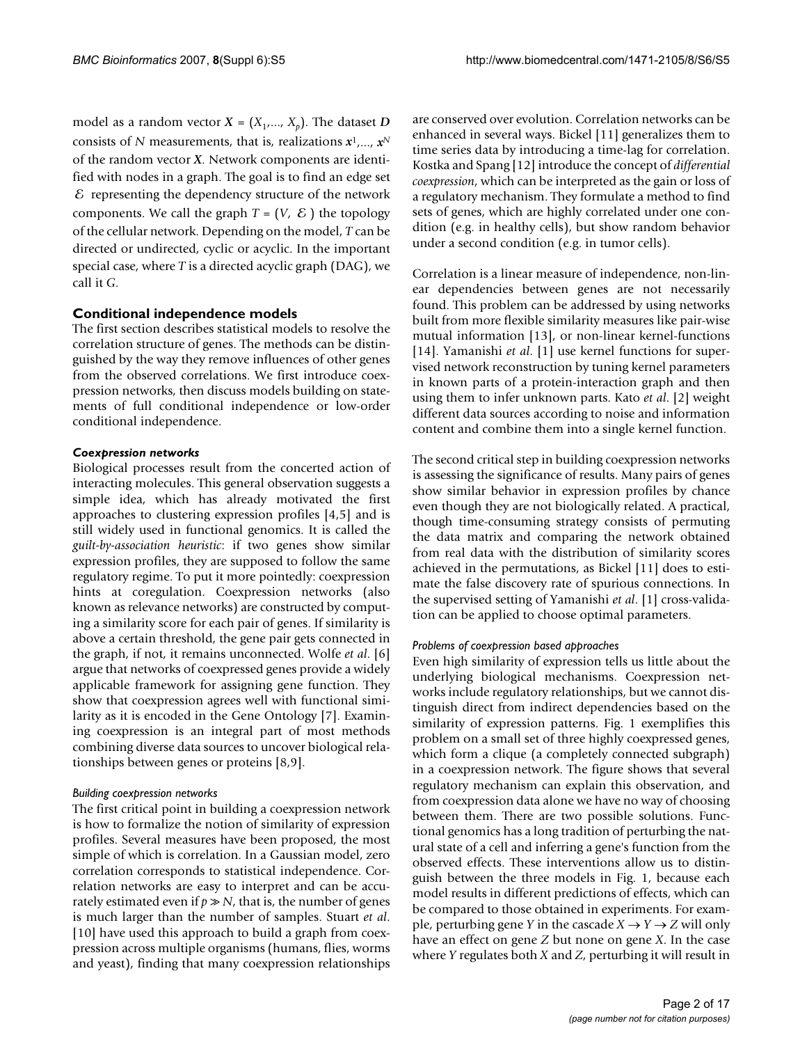model as a random vector  $X = (X_1, \ldots, X_n)$ . The dataset *D* consists of *N* measurements, that is, realizations  $x^1$ ,...,  $x^N$ of the random vector *X*. Network components are identified with nodes in a graph. The goal is to find an edge set  $\varepsilon$  representing the dependency structure of the network components. We call the graph  $T = (V, \mathcal{E})$  the topology of the cellular network. Depending on the model, *T* can be directed or undirected, cyclic or acyclic. In the important special case, where *T* is a directed acyclic graph (DAG), we call it *G*.

# **Conditional independence models**

The first section describes statistical models to resolve the correlation structure of genes. The methods can be distinguished by the way they remove influences of other genes from the observed correlations. We first introduce coexpression networks, then discuss models building on statements of full conditional independence or low-order conditional independence.

# *Coexpression networks*

Biological processes result from the concerted action of interacting molecules. This general observation suggests a simple idea, which has already motivated the first approaches to clustering expression profiles [4,5] and is still widely used in functional genomics. It is called the *guilt-by-association heuristic*: if two genes show similar expression profiles, they are supposed to follow the same regulatory regime. To put it more pointedly: coexpression hints at coregulation. Coexpression networks (also known as relevance networks) are constructed by computing a similarity score for each pair of genes. If similarity is above a certain threshold, the gene pair gets connected in the graph, if not, it remains unconnected. Wolfe *et al*. [6] argue that networks of coexpressed genes provide a widely applicable framework for assigning gene function. They show that coexpression agrees well with functional similarity as it is encoded in the Gene Ontology [7]. Examining coexpression is an integral part of most methods combining diverse data sources to uncover biological relationships between genes or proteins [8,9].

# *Building coexpression networks*

The first critical point in building a coexpression network is how to formalize the notion of similarity of expression profiles. Several measures have been proposed, the most simple of which is correlation. In a Gaussian model, zero correlation corresponds to statistical independence. Correlation networks are easy to interpret and can be accurately estimated even if  $p \gg N$ , that is, the number of genes is much larger than the number of samples. Stuart *et al*. [10] have used this approach to build a graph from coexpression across multiple organisms (humans, flies, worms and yeast), finding that many coexpression relationships

are conserved over evolution. Correlation networks can be enhanced in several ways. Bickel [11] generalizes them to time series data by introducing a time-lag for correlation. Kostka and Spang [12] introduce the concept of *differential coexpression*, which can be interpreted as the gain or loss of a regulatory mechanism. They formulate a method to find sets of genes, which are highly correlated under one condition (e.g. in healthy cells), but show random behavior under a second condition (e.g. in tumor cells).

Correlation is a linear measure of independence, non-linear dependencies between genes are not necessarily found. This problem can be addressed by using networks built from more flexible similarity measures like pair-wise mutual information [13], or non-linear kernel-functions [14]. Yamanishi *et al*. [1] use kernel functions for supervised network reconstruction by tuning kernel parameters in known parts of a protein-interaction graph and then using them to infer unknown parts. Kato *et al*. [2] weight different data sources according to noise and information content and combine them into a single kernel function.

The second critical step in building coexpression networks is assessing the significance of results. Many pairs of genes show similar behavior in expression profiles by chance even though they are not biologically related. A practical, though time-consuming strategy consists of permuting the data matrix and comparing the network obtained from real data with the distribution of similarity scores achieved in the permutations, as Bickel [11] does to estimate the false discovery rate of spurious connections. In the supervised setting of Yamanishi *et al*. [1] cross-validation can be applied to choose optimal parameters.

# *Problems of coexpression based approaches*

Even high similarity of expression tells us little about the underlying biological mechanisms. Coexpression networks include regulatory relationships, but we cannot distinguish direct from indirect dependencies based on the similarity of expression patterns. Fig. 1 exemplifies this problem on a small set of three highly coexpressed genes, which form a clique (a completely connected subgraph) in a coexpression network. The figure shows that several regulatory mechanism can explain this observation, and from coexpression data alone we have no way of choosing between them. There are two possible solutions. Functional genomics has a long tradition of perturbing the natural state of a cell and inferring a gene's function from the observed effects. These interventions allow us to distinguish between the three models in Fig. 1, because each model results in different predictions of effects, which can be compared to those obtained in experiments. For example, perturbing gene *Y* in the cascade  $X \rightarrow Y \rightarrow Z$  will only have an effect on gene *Z* but none on gene *X*. In the case where *Y* regulates both *X* and *Z*, perturbing it will result in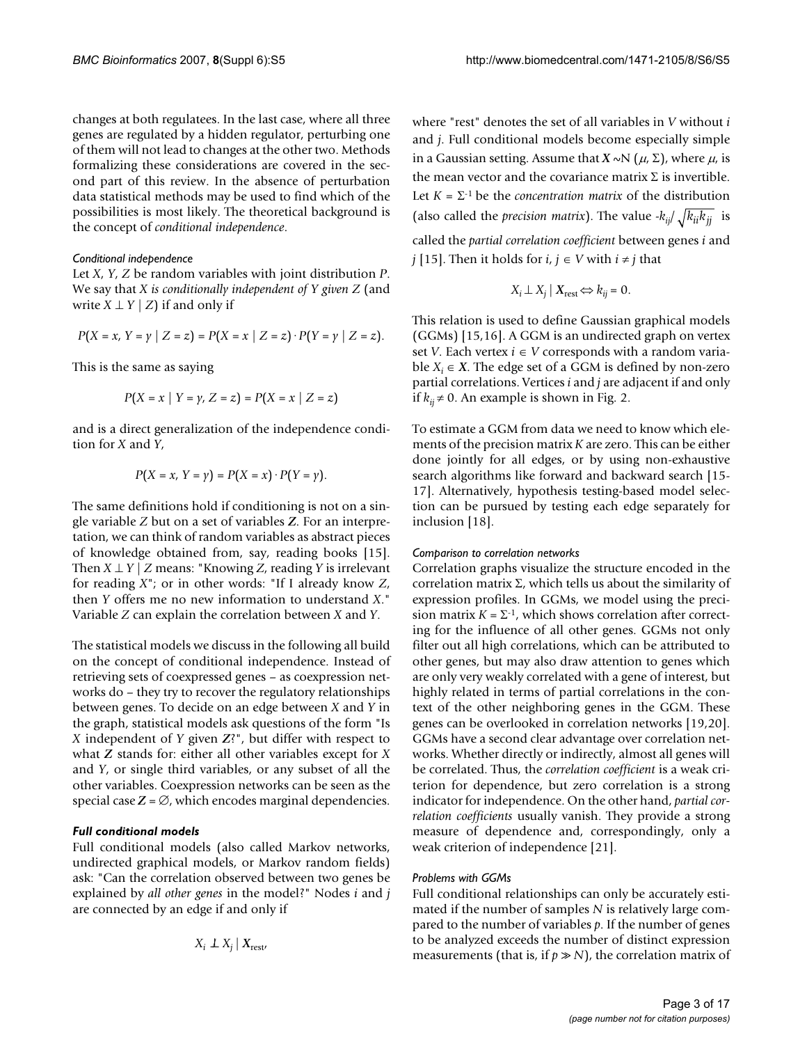changes at both regulatees. In the last case, where all three genes are regulated by a hidden regulator, perturbing one of them will not lead to changes at the other two. Methods formalizing these considerations are covered in the second part of this review. In the absence of perturbation data statistical methods may be used to find which of the possibilities is most likely. The theoretical background is the concept of *conditional independence*.

# *Conditional independence*

Let *X*, *Y*, *Z* be random variables with joint distribution *P*. We say that *X is conditionally independent of Y given Z* (and write  $X \perp Y \mid Z$  *if and only if* 

$$
P(X = x, Y = y | Z = z) = P(X = x | Z = z) \cdot P(Y = y | Z = z).
$$

This is the same as saying

$$
P(X = x \mid Y = \gamma, Z = z) = P(X = x \mid Z = z)
$$

and is a direct generalization of the independence condition for *X* and *Y*,

$$
P(X = x, Y = y) = P(X = x) \cdot P(Y = y).
$$

The same definitions hold if conditioning is not on a single variable *Z* but on a set of variables *Z*. For an interpretation, we can think of random variables as abstract pieces of knowledge obtained from, say, reading books [15]. Then  $X \perp Y \mid Z$  means: "Knowing *Z*, reading *Y* is irrelevant for reading *X*"; or in other words: "If I already know *Z*, then *Y* offers me no new information to understand *X*." Variable *Z* can explain the correlation between *X* and *Y*.

The statistical models we discuss in the following all build on the concept of conditional independence. Instead of retrieving sets of coexpressed genes – as coexpression networks do – they try to recover the regulatory relationships between genes. To decide on an edge between *X* and *Y* in the graph, statistical models ask questions of the form "Is *X* independent of *Y* given *Z*?", but differ with respect to what *Z* stands for: either all other variables except for *X* and *Y*, or single third variables, or any subset of all the other variables. Coexpression networks can be seen as the special case  $Z = \emptyset$ , which encodes marginal dependencies.

# *Full conditional models*

Full conditional models (also called Markov networks, undirected graphical models, or Markov random fields) ask: "Can the correlation observed between two genes be explained by *all other genes* in the model?" Nodes *i* and *j* are connected by an edge if and only if

$$
X_i \perp X_j \mid X_{\text{rest}}
$$

where "rest" denotes the set of all variables in *V* without *i* and *j*. Full conditional models become especially simple in a Gaussian setting. Assume that  $X \sim N(\mu, \Sigma)$ , where  $\mu$ , is the mean vector and the covariance matrix  $\Sigma$  is invertible. Let  $K = \Sigma^{-1}$  be the *concentration matrix* of the distribution (also called the *precision matrix*). The value  $-k_{ij}/\sqrt{k_{ii}k_{jj}}$  is called the *partial correlation coefficient* between genes *i* and *j* [15]. Then it holds for *i*, *j* ∈ *V* with  $i \neq j$  that

$$
X_i \perp X_j \mid X_{\text{rest}} \Longleftrightarrow k_{ij} = 0.
$$

This relation is used to define Gaussian graphical models (GGMs) [15,16]. A GGM is an undirected graph on vertex set *V*. Each vertex *i* ∈ *V* corresponds with a random variable  $X_i \in X$ . The edge set of a GGM is defined by non-zero partial correlations. Vertices *i* and *j* are adjacent if and only if  $k_{ii}$  ≠ 0. An example is shown in Fig. 2.

To estimate a GGM from data we need to know which elements of the precision matrix *K* are zero. This can be either done jointly for all edges, or by using non-exhaustive search algorithms like forward and backward search [15- 17]. Alternatively, hypothesis testing-based model selection can be pursued by testing each edge separately for inclusion [18].

# *Comparison to correlation networks*

Correlation graphs visualize the structure encoded in the correlation matrix Σ, which tells us about the similarity of expression profiles. In GGMs, we model using the precision matrix  $K = \Sigma^{-1}$ , which shows correlation after correcting for the influence of all other genes. GGMs not only filter out all high correlations, which can be attributed to other genes, but may also draw attention to genes which are only very weakly correlated with a gene of interest, but highly related in terms of partial correlations in the context of the other neighboring genes in the GGM. These genes can be overlooked in correlation networks [19,20]. GGMs have a second clear advantage over correlation networks. Whether directly or indirectly, almost all genes will be correlated. Thus, the *correlation coefficient* is a weak criterion for dependence, but zero correlation is a strong indicator for independence. On the other hand, *partial correlation coefficients* usually vanish. They provide a strong measure of dependence and, correspondingly, only a weak criterion of independence [21].

# *Problems with GGMs*

Full conditional relationships can only be accurately estimated if the number of samples *N* is relatively large compared to the number of variables *p*. If the number of genes to be analyzed exceeds the number of distinct expression measurements (that is, if  $p \gg N$ ), the correlation matrix of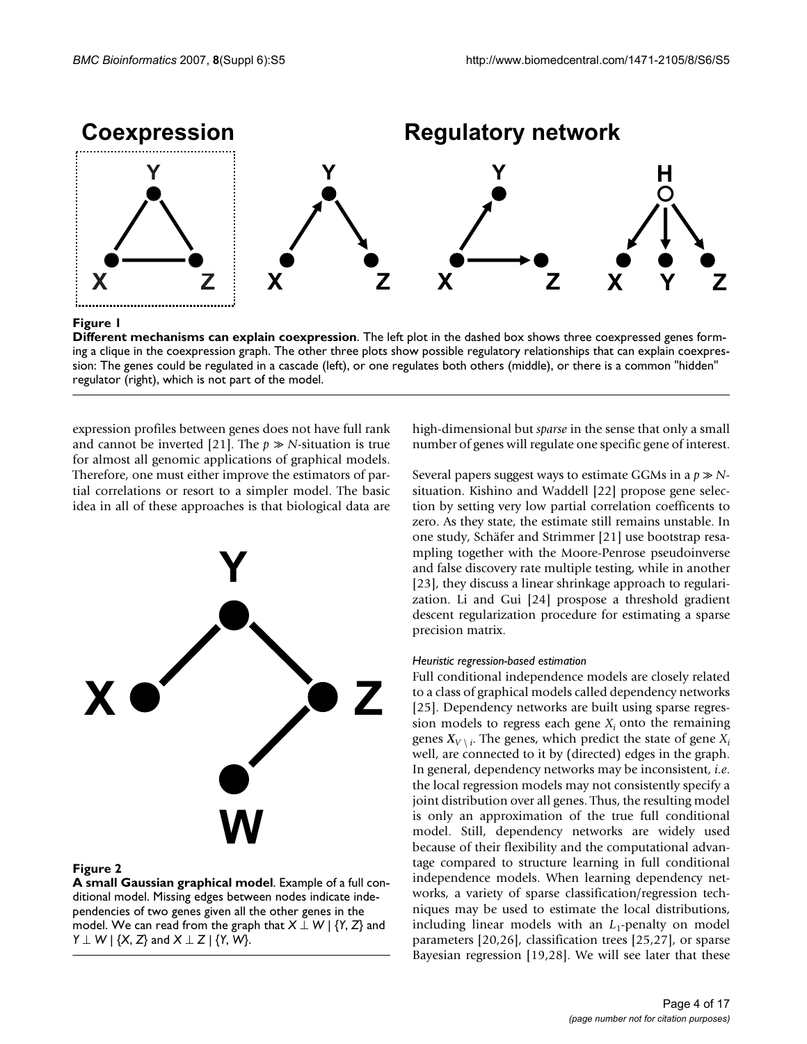

**Figure 1** 

**Different mechanisms can explain coexpression**. The left plot in the dashed box shows three coexpressed genes forming a clique in the coexpression graph. The other three plots show possible regulatory relationships that can explain coexpression: The genes could be regulated in a cascade (left), or one regulates both others (middle), or there is a common "hidden" regulator (right), which is not part of the model.

expression profiles between genes does not have full rank and cannot be inverted [21]. The  $p \gg N$ -situation is true for almost all genomic applications of graphical models. Therefore, one must either improve the estimators of partial correlations or resort to a simpler model. The basic idea in all of these approaches is that biological data are



# **Figure 2**

**A small Gaussian graphical model**. Example of a full conditional model. Missing edges between nodes indicate independencies of two genes given all the other genes in the model. We can read from the graph that *X* ⊥ *W* | {*Y*, *Z*} and *Y* ⊥ *W* | {*X*, *Z*} and *X* ⊥ *Z |* {*Y*, *W*}.

high-dimensional but *sparse* in the sense that only a small number of genes will regulate one specific gene of interest.

Several papers suggest ways to estimate GGMs in a  $p \gg N$ situation. Kishino and Waddell [22] propose gene selection by setting very low partial correlation coefficents to zero. As they state, the estimate still remains unstable. In one study, Schäfer and Strimmer [21] use bootstrap resampling together with the Moore-Penrose pseudoinverse and false discovery rate multiple testing, while in another [23], they discuss a linear shrinkage approach to regularization. Li and Gui [24] prospose a threshold gradient descent regularization procedure for estimating a sparse precision matrix.

# *Heuristic regression-based estimation*

Full conditional independence models are closely related to a class of graphical models called dependency networks [25]. Dependency networks are built using sparse regression models to regress each gene  $X_i$  onto the remaining genes  $X_{V \setminus i}$ . The genes, which predict the state of gene  $X_i$ well, are connected to it by (directed) edges in the graph. In general, dependency networks may be inconsistent, *i.e*. the local regression models may not consistently specify a joint distribution over all genes. Thus, the resulting model is only an approximation of the true full conditional model. Still, dependency networks are widely used because of their flexibility and the computational advantage compared to structure learning in full conditional independence models. When learning dependency networks, a variety of sparse classification/regression techniques may be used to estimate the local distributions, including linear models with an  $L_1$ -penalty on model parameters [20,26], classification trees [25,27], or sparse Bayesian regression [19,28]. We will see later that these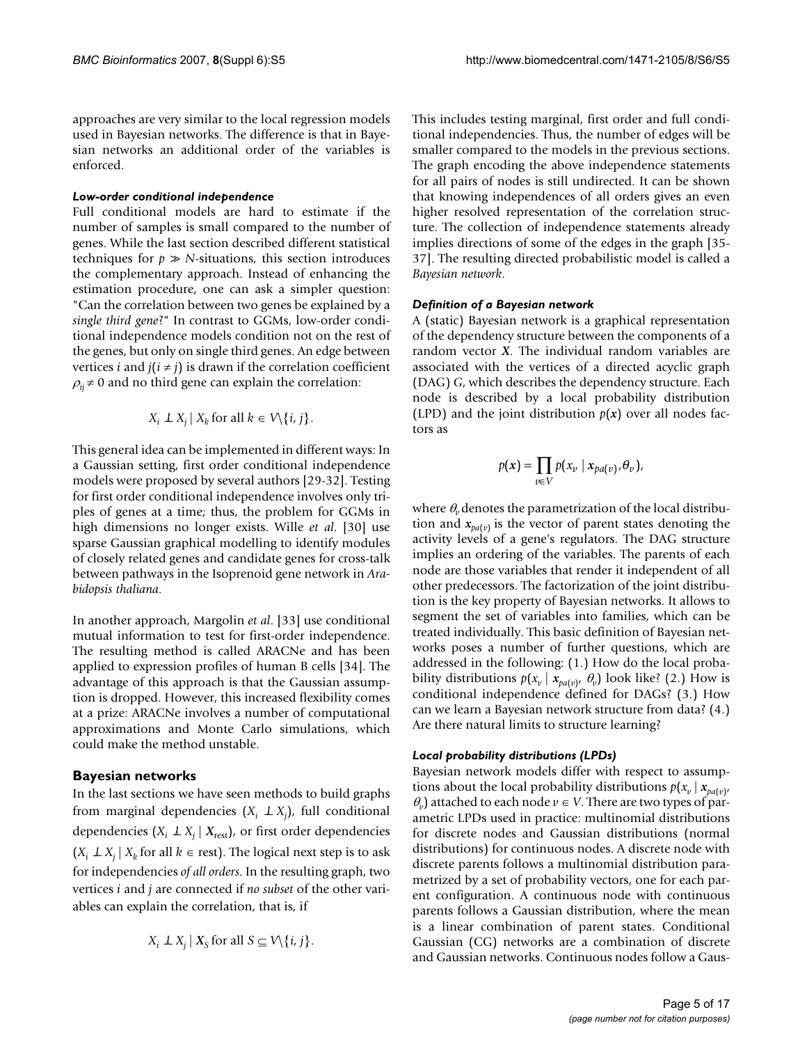approaches are very similar to the local regression models used in Bayesian networks. The difference is that in Bayesian networks an additional order of the variables is enforced.

### *Low-order conditional independence*

Full conditional models are hard to estimate if the number of samples is small compared to the number of genes. While the last section described different statistical techniques for  $p \gg N$ -situations, this section introduces the complementary approach. Instead of enhancing the estimation procedure, one can ask a simpler question: "Can the correlation between two genes be explained by a *single third gene*?" In contrast to GGMs, low-order conditional independence models condition not on the rest of the genes, but only on single third genes. An edge between vertices *i* and  $j(i \neq j)$  is drawn if the correlation coefficient  $\rho_{ii} \neq 0$  and no third gene can explain the correlation:

$$
X_i \perp X_j \mid X_k \text{ for all } k \in V \setminus \{i, j\}.
$$

This general idea can be implemented in different ways: In a Gaussian setting, first order conditional independence models were proposed by several authors [29-32]. Testing for first order conditional independence involves only triples of genes at a time; thus, the problem for GGMs in high dimensions no longer exists. Wille *et al*. [30] use sparse Gaussian graphical modelling to identify modules of closely related genes and candidate genes for cross-talk between pathways in the Isoprenoid gene network in *Arabidopsis thaliana*.

In another approach, Margolin *et al*. [33] use conditional mutual information to test for first-order independence. The resulting method is called ARACNe and has been applied to expression profiles of human B cells [34]. The advantage of this approach is that the Gaussian assumption is dropped. However, this increased flexibility comes at a prize: ARACNe involves a number of computational approximations and Monte Carlo simulations, which could make the method unstable.

# **Bayesian networks**

In the last sections we have seen methods to build graphs from marginal dependencies  $(X_i \perp X_j)$ , full conditional dependencies ( $X_i \perp X_j \mid X_{\text{rest}}$ ), or first order dependencies  $(X_i \perp X_j | X_k \text{ for all } k \in \text{rest})$ . The logical next step is to ask for independencies *of all orders*. In the resulting graph, two vertices *i* and *j* are connected if *no subset* of the other variables can explain the correlation, that is, if

$$
X_i \perp X_j \mid X_S \text{ for all } S \subseteq V \setminus \{i, j\}.
$$

This includes testing marginal, first order and full conditional independencies. Thus, the number of edges will be smaller compared to the models in the previous sections. The graph encoding the above independence statements for all pairs of nodes is still undirected. It can be shown that knowing independences of all orders gives an even higher resolved representation of the correlation structure. The collection of independence statements already implies directions of some of the edges in the graph [35- 37]. The resulting directed probabilistic model is called a *Bayesian network*.

# *Definition of a Bayesian network*

A (static) Bayesian network is a graphical representation of the dependency structure between the components of a random vector *X*. The individual random variables are associated with the vertices of a directed acyclic graph (DAG) *G*, which describes the dependency structure. Each node is described by a local probability distribution (LPD) and the joint distribution  $p(x)$  over all nodes factors as

$$
p(x) = \prod_{v \in V} p(x_v \mid x_{pa(v)}, \theta_v),
$$

where  $\theta_{\nu}$  denotes the parametrization of the local distribution and  $x_{pa(v)}$  is the vector of parent states denoting the activity levels of a gene's regulators. The DAG structure implies an ordering of the variables. The parents of each node are those variables that render it independent of all other predecessors. The factorization of the joint distribution is the key property of Bayesian networks. It allows to segment the set of variables into families, which can be treated individually. This basic definition of Bayesian networks poses a number of further questions, which are addressed in the following: (1.) How do the local probability distributions  $p(x_v \mid x_{p_d(v)}, \theta_v)$  look like? (2.) How is conditional independence defined for DAGs? (3.) How can we learn a Bayesian network structure from data? (4.) Are there natural limits to structure learning?

# *Local probability distributions (LPDs)*

Bayesian network models differ with respect to assumptions about the local probability distributions  $p(x_v | x_{p,q(v)},$  $\theta$ <sup>v</sup>) attached to each node  $v \in V$ . There are two types of parametric LPDs used in practice: multinomial distributions for discrete nodes and Gaussian distributions (normal distributions) for continuous nodes. A discrete node with discrete parents follows a multinomial distribution parametrized by a set of probability vectors, one for each parent configuration. A continuous node with continuous parents follows a Gaussian distribution, where the mean is a linear combination of parent states. Conditional Gaussian (CG) networks are a combination of discrete and Gaussian networks. Continuous nodes follow a Gaus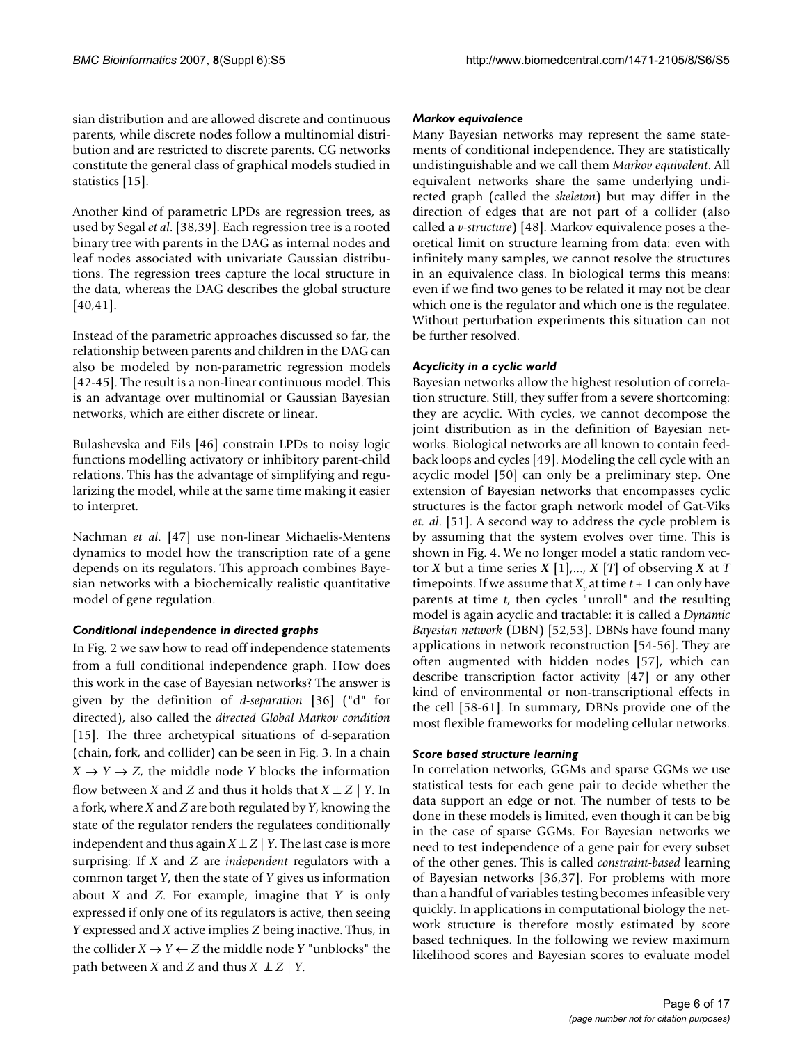sian distribution and are allowed discrete and continuous parents, while discrete nodes follow a multinomial distribution and are restricted to discrete parents. CG networks constitute the general class of graphical models studied in statistics [15].

Another kind of parametric LPDs are regression trees, as used by Segal *et al*. [38,39]. Each regression tree is a rooted binary tree with parents in the DAG as internal nodes and leaf nodes associated with univariate Gaussian distributions. The regression trees capture the local structure in the data, whereas the DAG describes the global structure [40,41].

Instead of the parametric approaches discussed so far, the relationship between parents and children in the DAG can also be modeled by non-parametric regression models [42-45]. The result is a non-linear continuous model. This is an advantage over multinomial or Gaussian Bayesian networks, which are either discrete or linear.

Bulashevska and Eils [46] constrain LPDs to noisy logic functions modelling activatory or inhibitory parent-child relations. This has the advantage of simplifying and regularizing the model, while at the same time making it easier to interpret.

Nachman *et al*. [47] use non-linear Michaelis-Mentens dynamics to model how the transcription rate of a gene depends on its regulators. This approach combines Bayesian networks with a biochemically realistic quantitative model of gene regulation.

# *Conditional independence in directed graphs*

In Fig. 2 we saw how to read off independence statements from a full conditional independence graph. How does this work in the case of Bayesian networks? The answer is given by the definition of *d-separation* [36] ("d" for directed), also called the *directed Global Markov condition* [15]. The three archetypical situations of d-separation (chain, fork, and collider) can be seen in Fig. 3. In a chain  $X \rightarrow Y \rightarrow Z$ , the middle node *Y* blocks the information flow between *X* and *Z* and thus it holds that  $X \perp Z \mid Y$ . In a fork, where *X* and *Z* are both regulated by *Y*, knowing the state of the regulator renders the regulatees conditionally independent and thus again  $X \perp Z \mid Y$ . The last case is more surprising: If *X* and *Z* are *independent* regulators with a common target *Y*, then the state of *Y* gives us information about *X* and *Z*. For example, imagine that *Y* is only expressed if only one of its regulators is active, then seeing *Y* expressed and *X* active implies *Z* being inactive. Thus, in the collider  $X \rightarrow Y \leftarrow Z$  the middle node *Y* "unblocks" the path between *X* and *Z* and thus *X*  $\perp$  *Z* | *Y*.

# *Markov equivalence*

Many Bayesian networks may represent the same statements of conditional independence. They are statistically undistinguishable and we call them *Markov equivalent*. All equivalent networks share the same underlying undirected graph (called the *skeleton*) but may differ in the direction of edges that are not part of a collider (also called a *v-structure*) [48]. Markov equivalence poses a theoretical limit on structure learning from data: even with infinitely many samples, we cannot resolve the structures in an equivalence class. In biological terms this means: even if we find two genes to be related it may not be clear which one is the regulator and which one is the regulatee. Without perturbation experiments this situation can not be further resolved.

# *Acyclicity in a cyclic world*

Bayesian networks allow the highest resolution of correlation structure. Still, they suffer from a severe shortcoming: they are acyclic. With cycles, we cannot decompose the joint distribution as in the definition of Bayesian networks. Biological networks are all known to contain feedback loops and cycles [49]. Modeling the cell cycle with an acyclic model [50] can only be a preliminary step. One extension of Bayesian networks that encompasses cyclic structures is the factor graph network model of Gat-Viks *et. al*. [51]. A second way to address the cycle problem is by assuming that the system evolves over time. This is shown in Fig. 4. We no longer model a static random vector *X* but a time series *X*  $[1]$ ,..., *X*  $[T]$  of observing *X* at *T* timepoints. If we assume that  $X<sub>v</sub>$  at time  $t + 1$  can only have parents at time *t*, then cycles "unroll" and the resulting model is again acyclic and tractable: it is called a *Dynamic Bayesian network* (DBN) [52,53]. DBNs have found many applications in network reconstruction [54-56]. They are often augmented with hidden nodes [57], which can describe transcription factor activity [47] or any other kind of environmental or non-transcriptional effects in the cell [58-61]. In summary, DBNs provide one of the most flexible frameworks for modeling cellular networks.

# *Score based structure learning*

In correlation networks, GGMs and sparse GGMs we use statistical tests for each gene pair to decide whether the data support an edge or not. The number of tests to be done in these models is limited, even though it can be big in the case of sparse GGMs. For Bayesian networks we need to test independence of a gene pair for every subset of the other genes. This is called *constraint-based* learning of Bayesian networks [36,37]. For problems with more than a handful of variables testing becomes infeasible very quickly. In applications in computational biology the network structure is therefore mostly estimated by score based techniques. In the following we review maximum likelihood scores and Bayesian scores to evaluate model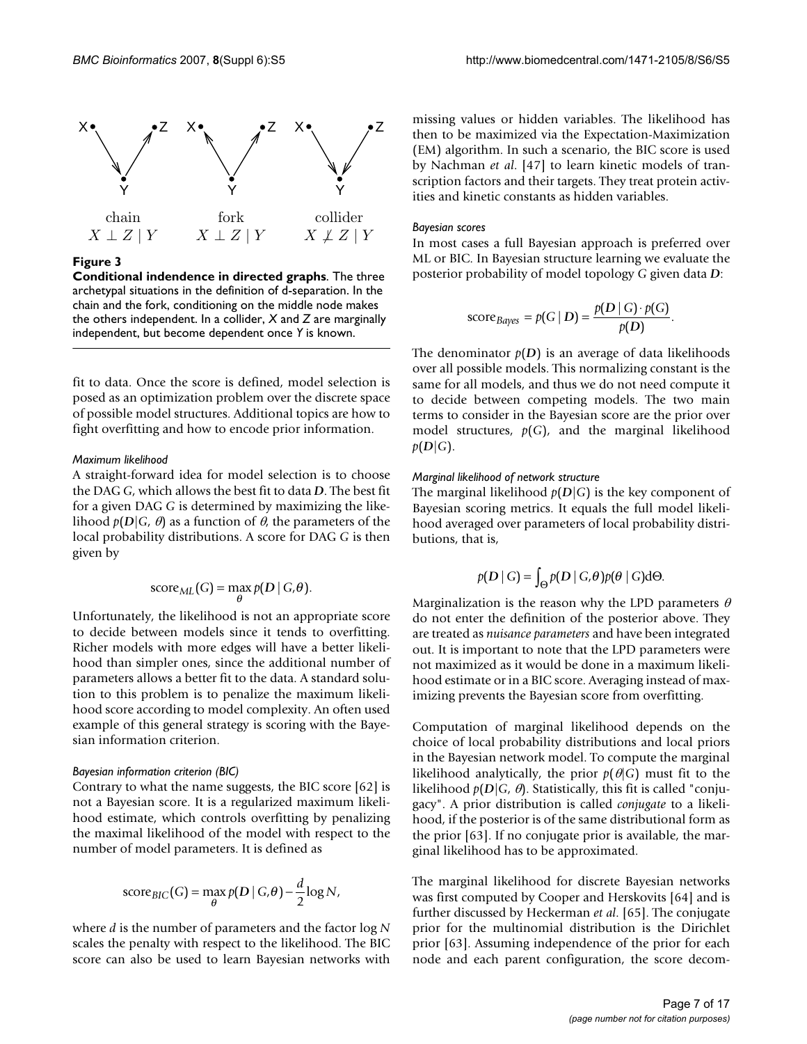

**Figure 3** 

**Conditional indendence in directed graphs**. The three archetypal situations in the definition of d-separation. In the chain and the fork, conditioning on the middle node makes the others independent. In a collider, *X* and *Z* are marginally independent, but become dependent once *Y* is known.

fit to data. Once the score is defined, model selection is posed as an optimization problem over the discrete space of possible model structures. Additional topics are how to fight overfitting and how to encode prior information.

# *Maximum likelihood*

A straight-forward idea for model selection is to choose the DAG *G*, which allows the best fit to data *D*. The best fit for a given DAG *G* is determined by maximizing the likelihood  $p(D|G, \theta)$  as a function of  $\theta$ , the parameters of the local probability distributions. A score for DAG *G* is then given by

$$
score_{ML}(G) = \max_{\theta} p(D \mid G, \theta).
$$

Unfortunately, the likelihood is not an appropriate score to decide between models since it tends to overfitting. Richer models with more edges will have a better likelihood than simpler ones, since the additional number of parameters allows a better fit to the data. A standard solution to this problem is to penalize the maximum likelihood score according to model complexity. An often used example of this general strategy is scoring with the Bayesian information criterion.

# *Bayesian information criterion (BIC)*

Contrary to what the name suggests, the BIC score [62] is not a Bayesian score. It is a regularized maximum likelihood estimate, which controls overfitting by penalizing the maximal likelihood of the model with respect to the number of model parameters. It is defined as

score<sub>BIC</sub>(G) = max 
$$
p(D | G, \theta) - \frac{d}{2} \log N
$$
,

where *d* is the number of parameters and the factor log *N* scales the penalty with respect to the likelihood. The BIC score can also be used to learn Bayesian networks with

missing values or hidden variables. The likelihood has then to be maximized via the Expectation-Maximization (EM) algorithm. In such a scenario, the BIC score is used by Nachman *et al*. [47] to learn kinetic models of transcription factors and their targets. They treat protein activities and kinetic constants as hidden variables.

### *Bayesian scores*

In most cases a full Bayesian approach is preferred over ML or BIC. In Bayesian structure learning we evaluate the posterior probability of model topology *G* given data *D*:

score<sub>Bayes</sub> = 
$$
p(G | D) = \frac{p(D | G) \cdot p(G)}{p(D)}
$$
.

The denominator  $p(D)$  is an average of data likelihoods over all possible models. This normalizing constant is the same for all models, and thus we do not need compute it to decide between competing models. The two main terms to consider in the Bayesian score are the prior over model structures, *p*(*G*), and the marginal likelihood  $p(D|G)$ .

### *Marginal likelihood of network structure*

The marginal likelihood  $p(D|G)$  is the key component of Bayesian scoring metrics. It equals the full model likelihood averaged over parameters of local probability distributions, that is,

$$
p(D \mid G) = \int_{\Theta} p(D \mid G, \theta) p(\theta \mid G) d\Theta.
$$

Marginalization is the reason why the LPD parameters  $\theta$ do not enter the definition of the posterior above. They are treated as *nuisance parameters* and have been integrated out. It is important to note that the LPD parameters were not maximized as it would be done in a maximum likelihood estimate or in a BIC score. Averaging instead of maximizing prevents the Bayesian score from overfitting.

Computation of marginal likelihood depends on the choice of local probability distributions and local priors in the Bayesian network model. To compute the marginal likelihood analytically, the prior  $p(\theta|G)$  must fit to the likelihood  $p(D|G, \theta)$ . Statistically, this fit is called "conjugacy". A prior distribution is called *conjugate* to a likelihood, if the posterior is of the same distributional form as the prior [63]. If no conjugate prior is available, the marginal likelihood has to be approximated.

The marginal likelihood for discrete Bayesian networks was first computed by Cooper and Herskovits [64] and is further discussed by Heckerman *et al*. [65]. The conjugate prior for the multinomial distribution is the Dirichlet prior [63]. Assuming independence of the prior for each node and each parent configuration, the score decom-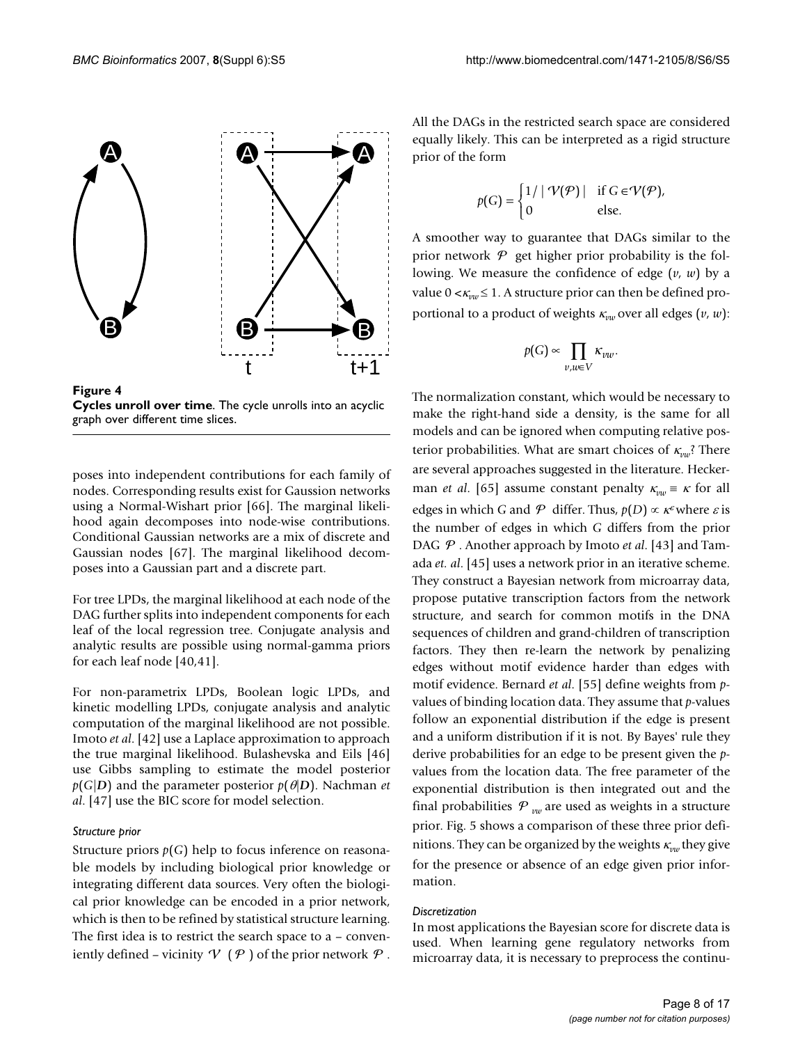

**Cycles unroll over time**. The cycle unrolls into an acyclic graph over different time slices.

poses into independent contributions for each family of nodes. Corresponding results exist for Gaussion networks using a Normal-Wishart prior [66]. The marginal likelihood again decomposes into node-wise contributions. Conditional Gaussian networks are a mix of discrete and Gaussian nodes [67]. The marginal likelihood decomposes into a Gaussian part and a discrete part.

For tree LPDs, the marginal likelihood at each node of the DAG further splits into independent components for each leaf of the local regression tree. Conjugate analysis and analytic results are possible using normal-gamma priors for each leaf node [40,41].

For non-parametrix LPDs, Boolean logic LPDs, and kinetic modelling LPDs, conjugate analysis and analytic computation of the marginal likelihood are not possible. Imoto *et al*. [42] use a Laplace approximation to approach the true marginal likelihood. Bulashevska and Eils [46] use Gibbs sampling to estimate the model posterior  $p(G|D)$  and the parameter posterior  $p(\theta|D)$ . Nachman *et al*. [47] use the BIC score for model selection.

#### *Structure prior*

Structure priors  $p(G)$  help to focus inference on reasonable models by including biological prior knowledge or integrating different data sources. Very often the biological prior knowledge can be encoded in a prior network, which is then to be refined by statistical structure learning. The first idea is to restrict the search space to a – conveniently defined – vicinity  $V(\mathcal{P})$  of the prior network  $\mathcal{P}$ .

All the DAGs in the restricted search space are considered equally likely. This can be interpreted as a rigid structure prior of the form

$$
p(G) = \begin{cases} 1/|\mathcal{V}(\mathcal{P})| & \text{if } G \in \mathcal{V}(\mathcal{P}), \\ 0 & \text{else.} \end{cases}
$$

A smoother way to guarantee that DAGs similar to the prior network  $P$  get higher prior probability is the following. We measure the confidence of edge (*v*, *w*) by a value  $0 < \kappa_{vw} \leq 1$ . A structure prior can then be defined proportional to a product of weights  $\kappa_{vw}$  over all edges  $(v, w)$ :

$$
p(G) \propto \prod_{v,w \in V} \kappa_{vw}.
$$

The normalization constant, which would be necessary to make the right-hand side a density, is the same for all models and can be ignored when computing relative posterior probabilities. What are smart choices of  $κ_{vw}$ ? There are several approaches suggested in the literature. Heckerman *et al.* [65] assume constant penalty  $\kappa_{vw} = \kappa$  for all edges in which *G* and  $\mathcal P$  differ. Thus,  $p(D) \propto \kappa^{\varepsilon}$  where  $\varepsilon$  is the number of edges in which *G* differs from the prior DAG  $P$  . Another approach by Imoto et al. [43] and Tamada *et. al*. [45] uses a network prior in an iterative scheme. They construct a Bayesian network from microarray data, propose putative transcription factors from the network structure, and search for common motifs in the DNA sequences of children and grand-children of transcription factors. They then re-learn the network by penalizing edges without motif evidence harder than edges with motif evidence. Bernard *et al*. [55] define weights from *p*values of binding location data. They assume that *p*-values follow an exponential distribution if the edge is present and a uniform distribution if it is not. By Bayes' rule they derive probabilities for an edge to be present given the *p*values from the location data. The free parameter of the exponential distribution is then integrated out and the final probabilities  $\mathcal{P}_{vw}$  are used as weights in a structure prior. Fig. 5 shows a comparison of these three prior definitions. They can be organized by the weights  $\kappa_{vw}$  they give for the presence or absence of an edge given prior information.

#### *Discretization*

In most applications the Bayesian score for discrete data is used. When learning gene regulatory networks from microarray data, it is necessary to preprocess the continu-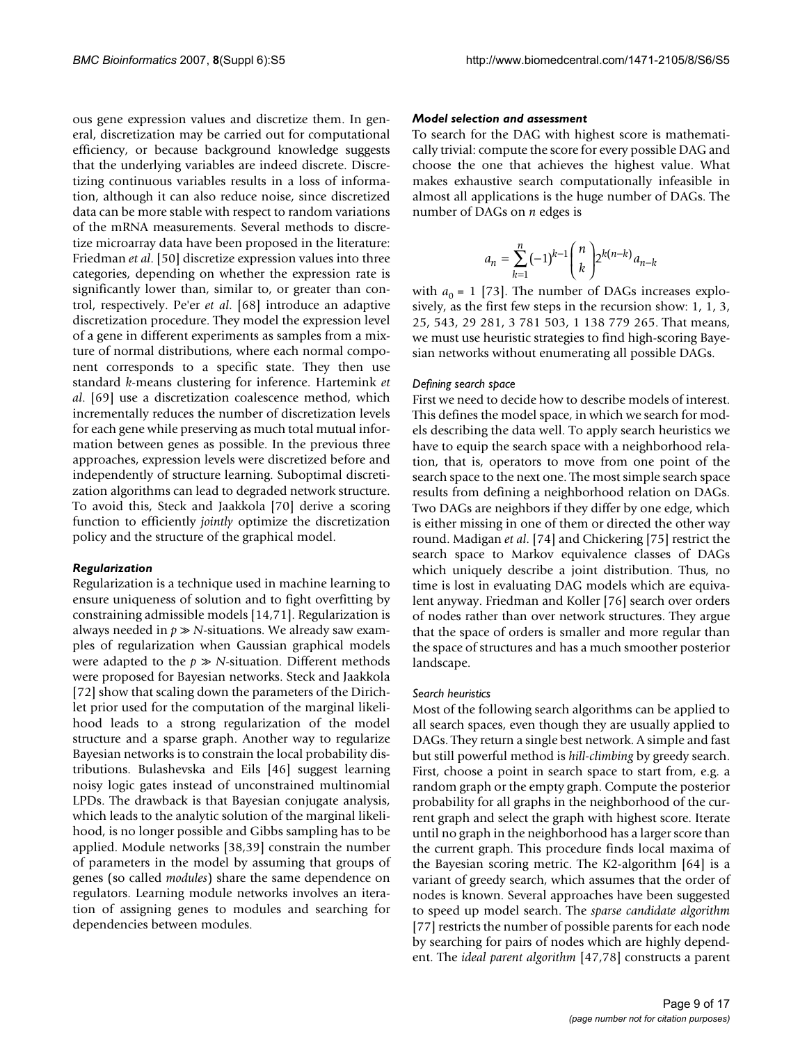ous gene expression values and discretize them. In general, discretization may be carried out for computational efficiency, or because background knowledge suggests that the underlying variables are indeed discrete. Discretizing continuous variables results in a loss of information, although it can also reduce noise, since discretized data can be more stable with respect to random variations of the mRNA measurements. Several methods to discretize microarray data have been proposed in the literature: Friedman *et al*. [50] discretize expression values into three categories, depending on whether the expression rate is significantly lower than, similar to, or greater than control, respectively. Pe'er *et al*. [68] introduce an adaptive discretization procedure. They model the expression level of a gene in different experiments as samples from a mixture of normal distributions, where each normal component corresponds to a specific state. They then use standard *k*-means clustering for inference. Hartemink *et al*. [69] use a discretization coalescence method, which incrementally reduces the number of discretization levels for each gene while preserving as much total mutual information between genes as possible. In the previous three approaches, expression levels were discretized before and independently of structure learning. Suboptimal discretization algorithms can lead to degraded network structure. To avoid this, Steck and Jaakkola [70] derive a scoring function to efficiently *jointly* optimize the discretization policy and the structure of the graphical model.

#### *Regularization*

Regularization is a technique used in machine learning to ensure uniqueness of solution and to fight overfitting by constraining admissible models [14,71]. Regularization is always needed in  $p \gg N$ -situations. We already saw examples of regularization when Gaussian graphical models were adapted to the  $p \gg N$ -situation. Different methods were proposed for Bayesian networks. Steck and Jaakkola [72] show that scaling down the parameters of the Dirichlet prior used for the computation of the marginal likelihood leads to a strong regularization of the model structure and a sparse graph. Another way to regularize Bayesian networks is to constrain the local probability distributions. Bulashevska and Eils [46] suggest learning noisy logic gates instead of unconstrained multinomial LPDs. The drawback is that Bayesian conjugate analysis, which leads to the analytic solution of the marginal likelihood, is no longer possible and Gibbs sampling has to be applied. Module networks [38,39] constrain the number of parameters in the model by assuming that groups of genes (so called *modules*) share the same dependence on regulators. Learning module networks involves an iteration of assigning genes to modules and searching for dependencies between modules.

#### *Model selection and assessment*

To search for the DAG with highest score is mathematically trivial: compute the score for every possible DAG and choose the one that achieves the highest value. What makes exhaustive search computationally infeasible in almost all applications is the huge number of DAGs. The number of DAGs on *n* edges is

$$
a_n = \sum_{k=1}^n (-1)^{k-1} \binom{n}{k} 2^{k(n-k)} a_{n-k}
$$

with  $a_0 = 1$  [73]. The number of DAGs increases explosively, as the first few steps in the recursion show: 1, 1, 3, 25, 543, 29 281, 3 781 503, 1 138 779 265. That means, we must use heuristic strategies to find high-scoring Bayesian networks without enumerating all possible DAGs.

#### *Defining search space*

First we need to decide how to describe models of interest. This defines the model space, in which we search for models describing the data well. To apply search heuristics we have to equip the search space with a neighborhood relation, that is, operators to move from one point of the search space to the next one. The most simple search space results from defining a neighborhood relation on DAGs. Two DAGs are neighbors if they differ by one edge, which is either missing in one of them or directed the other way round. Madigan *et al*. [74] and Chickering [75] restrict the search space to Markov equivalence classes of DAGs which uniquely describe a joint distribution. Thus, no time is lost in evaluating DAG models which are equivalent anyway. Friedman and Koller [76] search over orders of nodes rather than over network structures. They argue that the space of orders is smaller and more regular than the space of structures and has a much smoother posterior landscape.

#### *Search heuristics*

Most of the following search algorithms can be applied to all search spaces, even though they are usually applied to DAGs. They return a single best network. A simple and fast but still powerful method is *hill-climbing* by greedy search. First, choose a point in search space to start from, e.g. a random graph or the empty graph. Compute the posterior probability for all graphs in the neighborhood of the current graph and select the graph with highest score. Iterate until no graph in the neighborhood has a larger score than the current graph. This procedure finds local maxima of the Bayesian scoring metric. The K2-algorithm [64] is a variant of greedy search, which assumes that the order of nodes is known. Several approaches have been suggested to speed up model search. The *sparse candidate algorithm* [77] restricts the number of possible parents for each node by searching for pairs of nodes which are highly dependent. The *ideal parent algorithm* [47,78] constructs a parent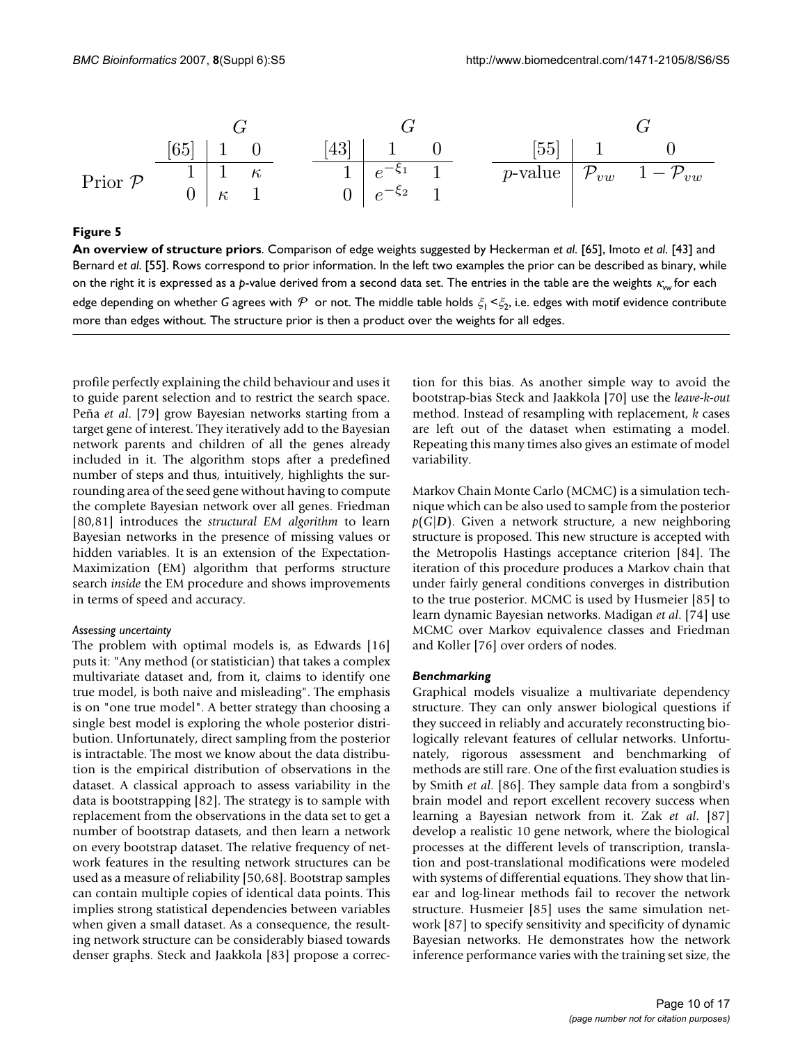

# **Figure 5**

**An overview of structure priors**. Comparison of edge weights suggested by Heckerman *et al*. [65], Imoto *et al*. [43] and Bernard *et al*. [55]. Rows correspond to prior information. In the left two examples the prior can be described as binary, while on the right it is expressed as a *p*-value derived from a second data set. The entries in the table are the weights <sup>κ</sup>*vw* for each edge depending on whether *G* agrees with  $\cal P$  or not. The middle table holds  $\zeta_1<\zeta_2$ , i.e. edges with motif evidence contribute more than edges without. The structure prior is then a product over the weights for all edges.

profile perfectly explaining the child behaviour and uses it to guide parent selection and to restrict the search space. Peña *et al*. [79] grow Bayesian networks starting from a target gene of interest. They iteratively add to the Bayesian network parents and children of all the genes already included in it. The algorithm stops after a predefined number of steps and thus, intuitively, highlights the surrounding area of the seed gene without having to compute the complete Bayesian network over all genes. Friedman [80,81] introduces the *structural EM algorithm* to learn Bayesian networks in the presence of missing values or hidden variables. It is an extension of the Expectation-Maximization (EM) algorithm that performs structure search *inside* the EM procedure and shows improvements in terms of speed and accuracy.

### *Assessing uncertainty*

The problem with optimal models is, as Edwards [16] puts it: "Any method (or statistician) that takes a complex multivariate dataset and, from it, claims to identify one true model, is both naive and misleading". The emphasis is on "one true model". A better strategy than choosing a single best model is exploring the whole posterior distribution. Unfortunately, direct sampling from the posterior is intractable. The most we know about the data distribution is the empirical distribution of observations in the dataset. A classical approach to assess variability in the data is bootstrapping [82]. The strategy is to sample with replacement from the observations in the data set to get a number of bootstrap datasets, and then learn a network on every bootstrap dataset. The relative frequency of network features in the resulting network structures can be used as a measure of reliability [50,68]. Bootstrap samples can contain multiple copies of identical data points. This implies strong statistical dependencies between variables when given a small dataset. As a consequence, the resulting network structure can be considerably biased towards denser graphs. Steck and Jaakkola [83] propose a correction for this bias. As another simple way to avoid the bootstrap-bias Steck and Jaakkola [70] use the *leave-k-out* method. Instead of resampling with replacement, *k* cases are left out of the dataset when estimating a model. Repeating this many times also gives an estimate of model variability.

Markov Chain Monte Carlo (MCMC) is a simulation technique which can be also used to sample from the posterior *p*(*G|D*). Given a network structure, a new neighboring structure is proposed. This new structure is accepted with the Metropolis Hastings acceptance criterion [84]. The iteration of this procedure produces a Markov chain that under fairly general conditions converges in distribution to the true posterior. MCMC is used by Husmeier [85] to learn dynamic Bayesian networks. Madigan *et al*. [74] use MCMC over Markov equivalence classes and Friedman and Koller [76] over orders of nodes.

#### *Benchmarking*

Graphical models visualize a multivariate dependency structure. They can only answer biological questions if they succeed in reliably and accurately reconstructing biologically relevant features of cellular networks. Unfortunately, rigorous assessment and benchmarking of methods are still rare. One of the first evaluation studies is by Smith *et al*. [86]. They sample data from a songbird's brain model and report excellent recovery success when learning a Bayesian network from it. Zak *et al*. [87] develop a realistic 10 gene network, where the biological processes at the different levels of transcription, translation and post-translational modifications were modeled with systems of differential equations. They show that linear and log-linear methods fail to recover the network structure. Husmeier [85] uses the same simulation network [87] to specify sensitivity and specificity of dynamic Bayesian networks. He demonstrates how the network inference performance varies with the training set size, the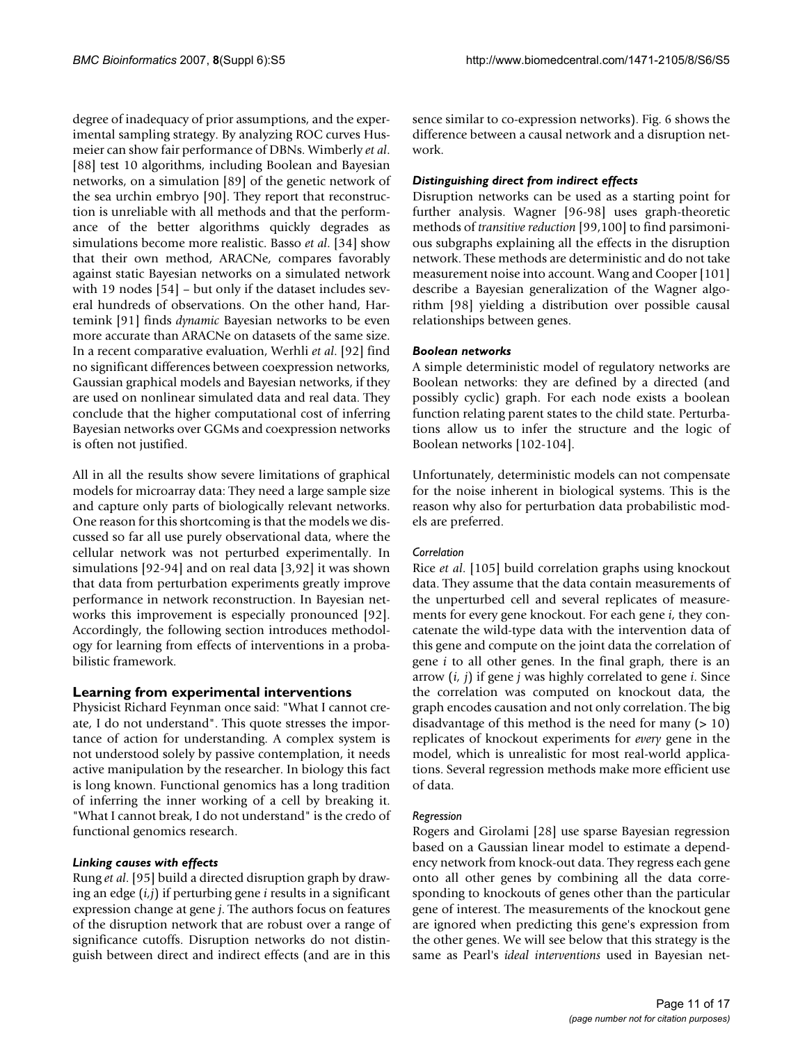degree of inadequacy of prior assumptions, and the experimental sampling strategy. By analyzing ROC curves Husmeier can show fair performance of DBNs. Wimberly *et al*. [88] test 10 algorithms, including Boolean and Bayesian networks, on a simulation [89] of the genetic network of the sea urchin embryo [90]. They report that reconstruction is unreliable with all methods and that the performance of the better algorithms quickly degrades as simulations become more realistic. Basso *et al*. [34] show that their own method, ARACNe, compares favorably against static Bayesian networks on a simulated network with 19 nodes [54] – but only if the dataset includes several hundreds of observations. On the other hand, Hartemink [91] finds *dynamic* Bayesian networks to be even more accurate than ARACNe on datasets of the same size. In a recent comparative evaluation, Werhli *et al*. [92] find no significant differences between coexpression networks, Gaussian graphical models and Bayesian networks, if they are used on nonlinear simulated data and real data. They conclude that the higher computational cost of inferring Bayesian networks over GGMs and coexpression networks is often not justified.

All in all the results show severe limitations of graphical models for microarray data: They need a large sample size and capture only parts of biologically relevant networks. One reason for this shortcoming is that the models we discussed so far all use purely observational data, where the cellular network was not perturbed experimentally. In simulations [92-94] and on real data [3,92] it was shown that data from perturbation experiments greatly improve performance in network reconstruction. In Bayesian networks this improvement is especially pronounced [92]. Accordingly, the following section introduces methodology for learning from effects of interventions in a probabilistic framework.

# **Learning from experimental interventions**

Physicist Richard Feynman once said: "What I cannot create, I do not understand". This quote stresses the importance of action for understanding. A complex system is not understood solely by passive contemplation, it needs active manipulation by the researcher. In biology this fact is long known. Functional genomics has a long tradition of inferring the inner working of a cell by breaking it. "What I cannot break, I do not understand" is the credo of functional genomics research.

# *Linking causes with effects*

Rung *et al*. [95] build a directed disruption graph by drawing an edge (*i,j*) if perturbing gene *i* results in a significant expression change at gene *j*. The authors focus on features of the disruption network that are robust over a range of significance cutoffs. Disruption networks do not distinguish between direct and indirect effects (and are in this sence similar to co-expression networks). Fig. 6 shows the difference between a causal network and a disruption network.

# *Distinguishing direct from indirect effects*

Disruption networks can be used as a starting point for further analysis. Wagner [96-98] uses graph-theoretic methods of *transitive reduction* [99,100] to find parsimonious subgraphs explaining all the effects in the disruption network. These methods are deterministic and do not take measurement noise into account. Wang and Cooper [101] describe a Bayesian generalization of the Wagner algorithm [98] yielding a distribution over possible causal relationships between genes.

# *Boolean networks*

A simple deterministic model of regulatory networks are Boolean networks: they are defined by a directed (and possibly cyclic) graph. For each node exists a boolean function relating parent states to the child state. Perturbations allow us to infer the structure and the logic of Boolean networks [102-104].

Unfortunately, deterministic models can not compensate for the noise inherent in biological systems. This is the reason why also for perturbation data probabilistic models are preferred.

# *Correlation*

Rice *et al*. [105] build correlation graphs using knockout data. They assume that the data contain measurements of the unperturbed cell and several replicates of measurements for every gene knockout. For each gene *i*, they concatenate the wild-type data with the intervention data of this gene and compute on the joint data the correlation of gene *i* to all other genes. In the final graph, there is an arrow (*i, j*) if gene *j* was highly correlated to gene *i*. Since the correlation was computed on knockout data, the graph encodes causation and not only correlation. The big disadvantage of this method is the need for many  $(>10)$ replicates of knockout experiments for *every* gene in the model, which is unrealistic for most real-world applications. Several regression methods make more efficient use of data.

# *Regression*

Rogers and Girolami [28] use sparse Bayesian regression based on a Gaussian linear model to estimate a dependency network from knock-out data. They regress each gene onto all other genes by combining all the data corresponding to knockouts of genes other than the particular gene of interest. The measurements of the knockout gene are ignored when predicting this gene's expression from the other genes. We will see below that this strategy is the same as Pearl's *ideal interventions* used in Bayesian net-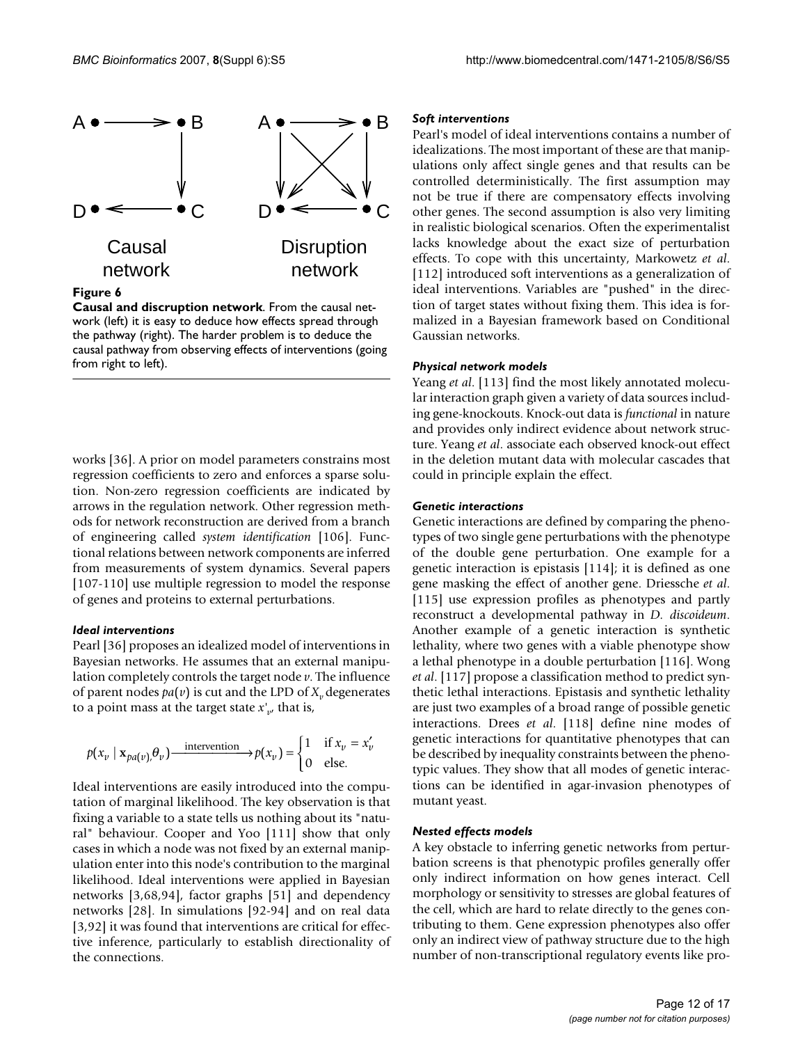

**Causal and discruption network**. From the causal network (left) it is easy to deduce how effects spread through the pathway (right). The harder problem is to deduce the causal pathway from observing effects of interventions (going from right to left).

works [36]. A prior on model parameters constrains most regression coefficients to zero and enforces a sparse solution. Non-zero regression coefficients are indicated by arrows in the regulation network. Other regression methods for network reconstruction are derived from a branch of engineering called *system identification* [106]. Functional relations between network components are inferred from measurements of system dynamics. Several papers [107-110] use multiple regression to model the response of genes and proteins to external perturbations.

# *Ideal interventions*

Pearl [36] proposes an idealized model of interventions in Bayesian networks. He assumes that an external manipulation completely controls the target node *v*. The influence of parent nodes  $pa(v)$  is cut and the LPD of  $X_v$  degenerates to a point mass at the target state  $x'_{\nu}$  that is,

$$
p(x_v \mid \mathbf{x}_{pa(v)}, \theta_v) \xrightarrow{\text{ intervention}} p(x_v) = \begin{cases} 1 & \text{if } x_v = x'_v \\ 0 & \text{else.} \end{cases}
$$

Ideal interventions are easily introduced into the computation of marginal likelihood. The key observation is that fixing a variable to a state tells us nothing about its "natural" behaviour. Cooper and Yoo [111] show that only cases in which a node was not fixed by an external manipulation enter into this node's contribution to the marginal likelihood. Ideal interventions were applied in Bayesian networks [3,68,94], factor graphs [51] and dependency networks [28]. In simulations [92-94] and on real data [3,92] it was found that interventions are critical for effective inference, particularly to establish directionality of the connections.

#### *Soft interventions*

Pearl's model of ideal interventions contains a number of idealizations. The most important of these are that manipulations only affect single genes and that results can be controlled deterministically. The first assumption may not be true if there are compensatory effects involving other genes. The second assumption is also very limiting in realistic biological scenarios. Often the experimentalist lacks knowledge about the exact size of perturbation effects. To cope with this uncertainty, Markowetz *et al*. [112] introduced soft interventions as a generalization of ideal interventions. Variables are "pushed" in the direction of target states without fixing them. This idea is formalized in a Bayesian framework based on Conditional Gaussian networks.

### *Physical network models*

Yeang *et al.* [113] find the most likely annotated molecular interaction graph given a variety of data sources including gene-knockouts. Knock-out data is *functional* in nature and provides only indirect evidence about network structure. Yeang *et al*. associate each observed knock-out effect in the deletion mutant data with molecular cascades that could in principle explain the effect.

#### *Genetic interactions*

Genetic interactions are defined by comparing the phenotypes of two single gene perturbations with the phenotype of the double gene perturbation. One example for a genetic interaction is epistasis [114]; it is defined as one gene masking the effect of another gene. Driessche *et al*. [115] use expression profiles as phenotypes and partly reconstruct a developmental pathway in *D. discoideum*. Another example of a genetic interaction is synthetic lethality, where two genes with a viable phenotype show a lethal phenotype in a double perturbation [116]. Wong *et al*. [117] propose a classification method to predict synthetic lethal interactions. Epistasis and synthetic lethality are just two examples of a broad range of possible genetic interactions. Drees *et al*. [118] define nine modes of genetic interactions for quantitative phenotypes that can be described by inequality constraints between the phenotypic values. They show that all modes of genetic interactions can be identified in agar-invasion phenotypes of mutant yeast.

#### *Nested effects models*

A key obstacle to inferring genetic networks from perturbation screens is that phenotypic profiles generally offer only indirect information on how genes interact. Cell morphology or sensitivity to stresses are global features of the cell, which are hard to relate directly to the genes contributing to them. Gene expression phenotypes also offer only an indirect view of pathway structure due to the high number of non-transcriptional regulatory events like pro-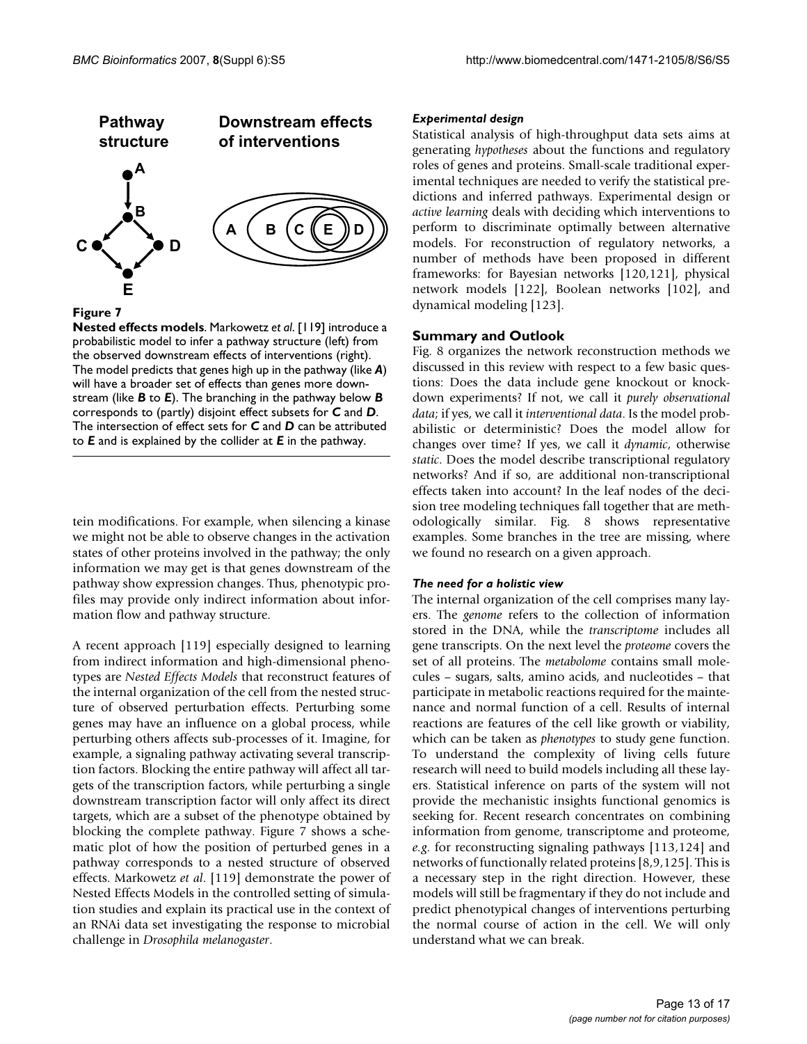

**Figure 7** 

**Nested effects models**. Markowetz *et al*. [119] introduce a probabilistic model to infer a pathway structure (left) from the observed downstream effects of interventions (right). The model predicts that genes high up in the pathway (like *A*) will have a broader set of effects than genes more downstream (like *B* to *E*). The branching in the pathway below *B*  corresponds to (partly) disjoint effect subsets for *C* and *D*. The intersection of effect sets for *C* and *D* can be attributed to *E* and is explained by the collider at *E* in the pathway.

tein modifications. For example, when silencing a kinase we might not be able to observe changes in the activation states of other proteins involved in the pathway; the only information we may get is that genes downstream of the pathway show expression changes. Thus, phenotypic profiles may provide only indirect information about information flow and pathway structure.

A recent approach [119] especially designed to learning from indirect information and high-dimensional phenotypes are *Nested Effects Models* that reconstruct features of the internal organization of the cell from the nested structure of observed perturbation effects. Perturbing some genes may have an influence on a global process, while perturbing others affects sub-processes of it. Imagine, for example, a signaling pathway activating several transcription factors. Blocking the entire pathway will affect all targets of the transcription factors, while perturbing a single downstream transcription factor will only affect its direct targets, which are a subset of the phenotype obtained by blocking the complete pathway. Figure 7 shows a schematic plot of how the position of perturbed genes in a pathway corresponds to a nested structure of observed effects. Markowetz *et al*. [119] demonstrate the power of Nested Effects Models in the controlled setting of simulation studies and explain its practical use in the context of an RNAi data set investigating the response to microbial challenge in *Drosophila melanogaster*.

# *Experimental design*

Statistical analysis of high-throughput data sets aims at generating *hypotheses* about the functions and regulatory roles of genes and proteins. Small-scale traditional experimental techniques are needed to verify the statistical predictions and inferred pathways. Experimental design or *active learning* deals with deciding which interventions to perform to discriminate optimally between alternative models. For reconstruction of regulatory networks, a number of methods have been proposed in different frameworks: for Bayesian networks [120,121], physical network models [122], Boolean networks [102], and dynamical modeling [123].

# **Summary and Outlook**

Fig. 8 organizes the network reconstruction methods we discussed in this review with respect to a few basic questions: Does the data include gene knockout or knockdown experiments? If not, we call it *purely observational data*; if yes, we call it *interventional data*. Is the model probabilistic or deterministic? Does the model allow for changes over time? If yes, we call it *dynamic*, otherwise *static*. Does the model describe transcriptional regulatory networks? And if so, are additional non-transcriptional effects taken into account? In the leaf nodes of the decision tree modeling techniques fall together that are methodologically similar. Fig. 8 shows representative examples. Some branches in the tree are missing, where we found no research on a given approach.

# *The need for a holistic view*

The internal organization of the cell comprises many layers. The *genome* refers to the collection of information stored in the DNA, while the *transcriptome* includes all gene transcripts. On the next level the *proteome* covers the set of all proteins. The *metabolome* contains small molecules – sugars, salts, amino acids, and nucleotides – that participate in metabolic reactions required for the maintenance and normal function of a cell. Results of internal reactions are features of the cell like growth or viability, which can be taken as *phenotypes* to study gene function. To understand the complexity of living cells future research will need to build models including all these layers. Statistical inference on parts of the system will not provide the mechanistic insights functional genomics is seeking for. Recent research concentrates on combining information from genome, transcriptome and proteome, *e.g*. for reconstructing signaling pathways [113,124] and networks of functionally related proteins [8,9,125]. This is a necessary step in the right direction. However, these models will still be fragmentary if they do not include and predict phenotypical changes of interventions perturbing the normal course of action in the cell. We will only understand what we can break.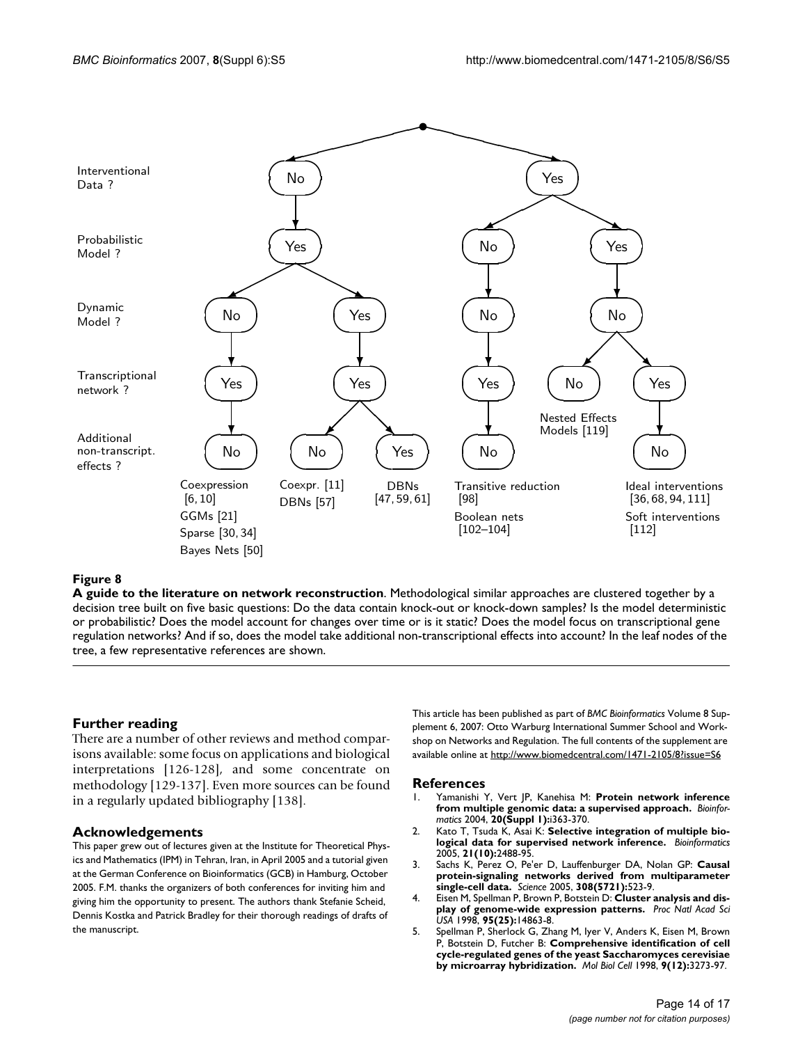

# **Figure 8**

**A guide to the literature on network reconstruction**. Methodological similar approaches are clustered together by a decision tree built on five basic questions: Do the data contain knock-out or knock-down samples? Is the model deterministic or probabilistic? Does the model account for changes over time or is it static? Does the model focus on transcriptional gene regulation networks? And if so, does the model take additional non-transcriptional effects into account? In the leaf nodes of the tree, a few representative references are shown.

# **Further reading**

There are a number of other reviews and method comparisons available: some focus on applications and biological interpretations [126-128], and some concentrate on methodology [129-137]. Even more sources can be found in a regularly updated bibliography [138].

# **Acknowledgements**

This paper grew out of lectures given at the Institute for Theoretical Physics and Mathematics (IPM) in Tehran, Iran, in April 2005 and a tutorial given at the German Conference on Bioinformatics (GCB) in Hamburg, October 2005. F.M. thanks the organizers of both conferences for inviting him and giving him the opportunity to present. The authors thank Stefanie Scheid, Dennis Kostka and Patrick Bradley for their thorough readings of drafts of the manuscript.

This article has been published as part of *BMC Bioinformatics* Volume 8 Supplement 6, 2007: Otto Warburg International Summer School and Workshop on Networks and Regulation. The full contents of the supplement are available online at<http://www.biomedcentral.com/1471-2105/8?issue=S6>

#### **References**

- 1. Yamanishi Y, Vert JP, Kanehisa M: **[Protein network inference](http://www.ncbi.nlm.nih.gov/entrez/query.fcgi?cmd=Retrieve&db=PubMed&dopt=Abstract&list_uids=15262821) [from multiple genomic data: a supervised approach.](http://www.ncbi.nlm.nih.gov/entrez/query.fcgi?cmd=Retrieve&db=PubMed&dopt=Abstract&list_uids=15262821)** *Bioinformatics* 2004, **20(Suppl 1):**i363-370.
- 2. Kato T, Tsuda K, Asai K: [Selective integration of multiple bio](http://www.ncbi.nlm.nih.gov/entrez/query.fcgi?cmd=Retrieve&db=PubMed&dopt=Abstract&list_uids=15728114)**[logical data for supervised network inference.](http://www.ncbi.nlm.nih.gov/entrez/query.fcgi?cmd=Retrieve&db=PubMed&dopt=Abstract&list_uids=15728114)** *Bioinformatics* 2005, **21(10):**2488-95.
- 3. Sachs K, Perez O, Pe'er D, Lauffenburger DA, Nolan GP: **[Causal](http://www.ncbi.nlm.nih.gov/entrez/query.fcgi?cmd=Retrieve&db=PubMed&dopt=Abstract&list_uids=15845847) [protein-signaling networks derived from multiparameter](http://www.ncbi.nlm.nih.gov/entrez/query.fcgi?cmd=Retrieve&db=PubMed&dopt=Abstract&list_uids=15845847) [single-cell data.](http://www.ncbi.nlm.nih.gov/entrez/query.fcgi?cmd=Retrieve&db=PubMed&dopt=Abstract&list_uids=15845847)** *Science* 2005, **308(5721):**523-9.
- 4. Eisen M, Spellman P, Brown P, Botstein D: **[Cluster analysis and dis](http://www.ncbi.nlm.nih.gov/entrez/query.fcgi?cmd=Retrieve&db=PubMed&dopt=Abstract&list_uids=9843981)[play of genome-wide expression patterns.](http://www.ncbi.nlm.nih.gov/entrez/query.fcgi?cmd=Retrieve&db=PubMed&dopt=Abstract&list_uids=9843981)** *Proc Natl Acad Sci USA* 1998, **95(25):**14863-8.
- 5. Spellman P, Sherlock G, Zhang M, Iyer V, Anders K, Eisen M, Brown P, Botstein D, Futcher B: **[Comprehensive identification of cell](http://www.ncbi.nlm.nih.gov/entrez/query.fcgi?cmd=Retrieve&db=PubMed&dopt=Abstract&list_uids=9843569) [cycle-regulated genes of the yeast Saccharomyces cerevisiae](http://www.ncbi.nlm.nih.gov/entrez/query.fcgi?cmd=Retrieve&db=PubMed&dopt=Abstract&list_uids=9843569) [by microarray hybridization.](http://www.ncbi.nlm.nih.gov/entrez/query.fcgi?cmd=Retrieve&db=PubMed&dopt=Abstract&list_uids=9843569)** *Mol Biol Cell* 1998, **9(12):**3273-97.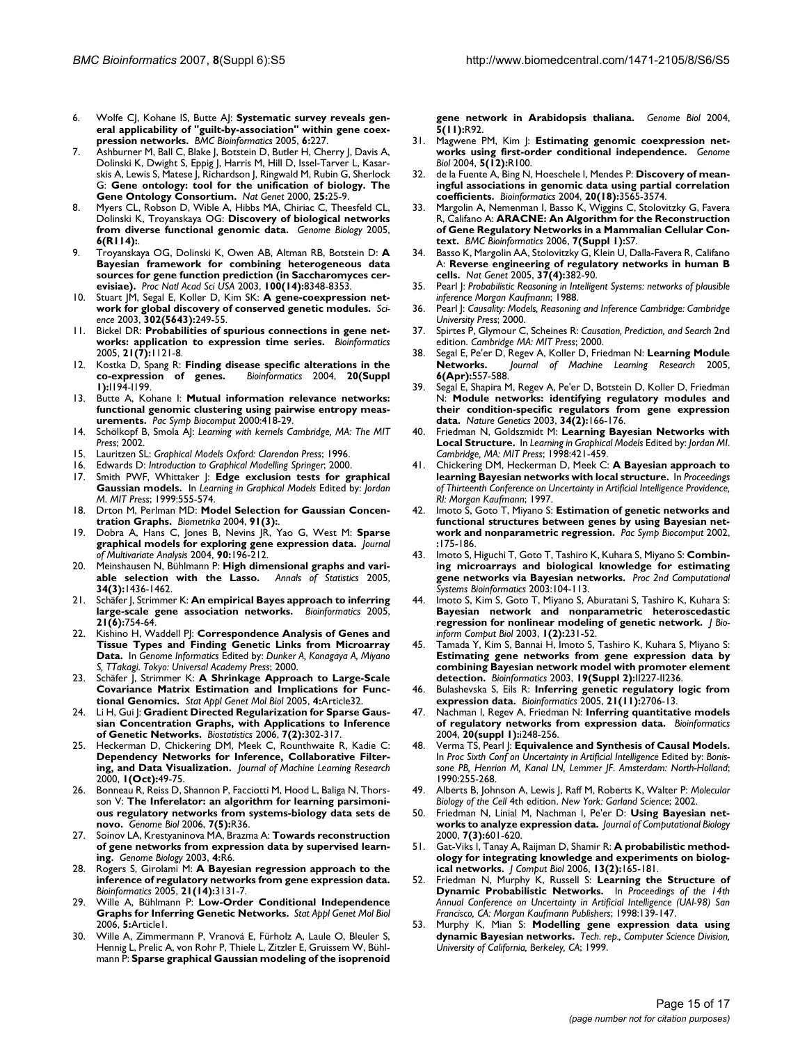- 6. Wolfe CJ, Kohane IS, Butte AJ: **[Systematic survey reveals gen](http://www.ncbi.nlm.nih.gov/entrez/query.fcgi?cmd=Retrieve&db=PubMed&dopt=Abstract&list_uids=16162296)[eral applicability of "guilt-by-association" within gene coex](http://www.ncbi.nlm.nih.gov/entrez/query.fcgi?cmd=Retrieve&db=PubMed&dopt=Abstract&list_uids=16162296)[pression networks.](http://www.ncbi.nlm.nih.gov/entrez/query.fcgi?cmd=Retrieve&db=PubMed&dopt=Abstract&list_uids=16162296)** *BMC Bioinformatics* 2005, **6:**227.
- 7. Ashburner M, Ball C, Blake J, Botstein D, Butler H, Cherry J, Davis A, Dolinski K, Dwight S, Eppig J, Harris M, Hill D, Issel-Tarver L, Kasarskis A, Lewis S, Matese J, Richardson J, Ringwald M, Rubin G, Sherlock G: **[Gene ontology: tool for the unification of biology. The](http://www.ncbi.nlm.nih.gov/entrez/query.fcgi?cmd=Retrieve&db=PubMed&dopt=Abstract&list_uids=10802651) [Gene Ontology Consortium.](http://www.ncbi.nlm.nih.gov/entrez/query.fcgi?cmd=Retrieve&db=PubMed&dopt=Abstract&list_uids=10802651)** *Nat Genet* 2000, **25:**25-9.
- 8. Myers CL, Robson D, Wible A, Hibbs MA, Chiriac C, Theesfeld CL, Dolinski K, Troyanskaya OG: **[Discovery of biological networks](http://www.ncbi.nlm.nih.gov/entrez/query.fcgi?cmd=Retrieve&db=PubMed&dopt=Abstract&list_uids=16420673) [from diverse functional genomic data.](http://www.ncbi.nlm.nih.gov/entrez/query.fcgi?cmd=Retrieve&db=PubMed&dopt=Abstract&list_uids=16420673)** *Genome Biology* 2005, **6(R114):**.
- 9. Troyanskaya OG, Dolinski K, Owen AB, Altman RB, Botstein D: **[A](http://www.ncbi.nlm.nih.gov/entrez/query.fcgi?cmd=Retrieve&db=PubMed&dopt=Abstract&list_uids=12826619) [Bayesian framework for combining heterogeneous data](http://www.ncbi.nlm.nih.gov/entrez/query.fcgi?cmd=Retrieve&db=PubMed&dopt=Abstract&list_uids=12826619) sources for gene function prediction (in Saccharomyces cer[evisiae\).](http://www.ncbi.nlm.nih.gov/entrez/query.fcgi?cmd=Retrieve&db=PubMed&dopt=Abstract&list_uids=12826619)** *Proc Natl Acad Sci USA* 2003, **100(14):**8348-8353.
- 10. Stuart JM, Segal E, Koller D, Kim SK: **[A gene-coexpression net](http://www.ncbi.nlm.nih.gov/entrez/query.fcgi?cmd=Retrieve&db=PubMed&dopt=Abstract&list_uids=12934013)[work for global discovery of conserved genetic modules.](http://www.ncbi.nlm.nih.gov/entrez/query.fcgi?cmd=Retrieve&db=PubMed&dopt=Abstract&list_uids=12934013)** *Science* 2003, **302(5643):**249-55.
- 11. Bickel DR: **[Probabilities of spurious connections in gene net](http://www.ncbi.nlm.nih.gov/entrez/query.fcgi?cmd=Retrieve&db=PubMed&dopt=Abstract&list_uids=15546939)[works: application to expression time series.](http://www.ncbi.nlm.nih.gov/entrez/query.fcgi?cmd=Retrieve&db=PubMed&dopt=Abstract&list_uids=15546939)** *Bioinformatics* 2005, **21(7):**1121-8.
- 12. Kostka D, Spang R: **[Finding disease specific alterations in the](http://www.ncbi.nlm.nih.gov/entrez/query.fcgi?cmd=Retrieve&db=PubMed&dopt=Abstract&list_uids=15262799) [co-expression of genes.](http://www.ncbi.nlm.nih.gov/entrez/query.fcgi?cmd=Retrieve&db=PubMed&dopt=Abstract&list_uids=15262799)** *Bioinformatics* 2004, **20(Suppl 1):**I194-I199.
- Butte A, Kohane I: **[Mutual information relevance networks:](http://www.ncbi.nlm.nih.gov/entrez/query.fcgi?cmd=Retrieve&db=PubMed&dopt=Abstract&list_uids=10902190) [functional genomic clustering using pairwise entropy meas](http://www.ncbi.nlm.nih.gov/entrez/query.fcgi?cmd=Retrieve&db=PubMed&dopt=Abstract&list_uids=10902190)[urements.](http://www.ncbi.nlm.nih.gov/entrez/query.fcgi?cmd=Retrieve&db=PubMed&dopt=Abstract&list_uids=10902190)** *Pac Symp Biocomput* 2000:418-29.
- 14. Schölkopf B, Smola AJ: *Learning with kernels Cambridge, MA: The MIT Press*; 2002.
- 15. Lauritzen SL: *Graphical Models Oxford: Clarendon Press*; 1996.
- 16. Edwards D: *Introduction to Graphical Modelling Springer*; 2000.
- 17. Smith PWF, Whittaker J: **Edge exclusion tests for graphical Gaussian models.** In *Learning in Graphical Models* Edited by: *Jordan M*. *MIT Press*; 1999:555-574.
- 18. Drton M, Perlman MD: **Model Selection for Gaussian Concentration Graphs.** *Biometrika* 2004, **91(3):**.
- 19. Dobra A, Hans C, Jones B, Nevins JR, Yao G, West M: **Sparse graphical models for exploring gene expression data.** *Journal of Multivariate Analysis* 2004, **90:**196-212.
- Meinshausen N, Bühlmann P: High dimensional graphs and vari**able selection with the Lasso.** *Annals of Statistics* 2005, **34(3):**1436-1462.
- 21. Schäfer J, Strimmer K: **[An empirical Bayes approach to inferring](http://www.ncbi.nlm.nih.gov/entrez/query.fcgi?cmd=Retrieve&db=PubMed&dopt=Abstract&list_uids=15479708) [large-scale gene association networks.](http://www.ncbi.nlm.nih.gov/entrez/query.fcgi?cmd=Retrieve&db=PubMed&dopt=Abstract&list_uids=15479708)** *Bioinformatics* 2005, **21(6):**754-64.
- 22. Kishino H, Waddell PJ: **Correspondence Analysis of Genes and Tissue Types and Finding Genetic Links from Microarray Data.** In *Genome Informatics* Edited by: *Dunker A, Konagaya A, Miyano S, TTakagi*. *Tokyo: Universal Academy Press*; 2000.
- 23. Schäfer J, Strimmer K: **[A Shrinkage Approach to Large-Scale](http://www.ncbi.nlm.nih.gov/entrez/query.fcgi?cmd=Retrieve&db=PubMed&dopt=Abstract&list_uids=16646851) [Covariance Matrix Estimation and Implications for Func](http://www.ncbi.nlm.nih.gov/entrez/query.fcgi?cmd=Retrieve&db=PubMed&dopt=Abstract&list_uids=16646851)[tional Genomics.](http://www.ncbi.nlm.nih.gov/entrez/query.fcgi?cmd=Retrieve&db=PubMed&dopt=Abstract&list_uids=16646851)** *Stat Appl Genet Mol Biol* 2005, **4:**Article32.
- 24. Li H, Gui J: **[Gradient Directed Regularization for Sparse Gaus](http://www.ncbi.nlm.nih.gov/entrez/query.fcgi?cmd=Retrieve&db=PubMed&dopt=Abstract&list_uids=16326758)[sian Concentration Graphs, with Applications to Inference](http://www.ncbi.nlm.nih.gov/entrez/query.fcgi?cmd=Retrieve&db=PubMed&dopt=Abstract&list_uids=16326758) [of Genetic Networks.](http://www.ncbi.nlm.nih.gov/entrez/query.fcgi?cmd=Retrieve&db=PubMed&dopt=Abstract&list_uids=16326758)** *Biostatistics* 2006, **7(2):**302-317.
- 25. Heckerman D, Chickering DM, Meek C, Rounthwaite R, Kadie C: **Dependency Networks for Inference, Collaborative Filtering, and Data Visualization.** *Journal of Machine Learning Research* 2000, **1(Oct):**49-75.
- 26. Bonneau R, Reiss D, Shannon P, Facciotti M, Hood L, Baliga N, Thorsson V: **[The Inferelator: an algorithm for learning parsimoni](http://www.ncbi.nlm.nih.gov/entrez/query.fcgi?cmd=Retrieve&db=PubMed&dopt=Abstract&list_uids=16686963)[ous regulatory networks from systems-biology data sets de](http://www.ncbi.nlm.nih.gov/entrez/query.fcgi?cmd=Retrieve&db=PubMed&dopt=Abstract&list_uids=16686963) [novo.](http://www.ncbi.nlm.nih.gov/entrez/query.fcgi?cmd=Retrieve&db=PubMed&dopt=Abstract&list_uids=16686963)** *Genome Biol* 2006, **7(5):**R36.
- 27. Soinov LA, Krestyaninova MA, Brazma A: **[Towards reconstruction](http://www.ncbi.nlm.nih.gov/entrez/query.fcgi?cmd=Retrieve&db=PubMed&dopt=Abstract&list_uids=12540298) [of gene networks from expression data by supervised learn](http://www.ncbi.nlm.nih.gov/entrez/query.fcgi?cmd=Retrieve&db=PubMed&dopt=Abstract&list_uids=12540298)[ing.](http://www.ncbi.nlm.nih.gov/entrez/query.fcgi?cmd=Retrieve&db=PubMed&dopt=Abstract&list_uids=12540298)** *Genome Biology* 2003, **4:**R6.
- 28. Rogers S, Girolami M: **[A Bayesian regression approach to the](http://www.ncbi.nlm.nih.gov/entrez/query.fcgi?cmd=Retrieve&db=PubMed&dopt=Abstract&list_uids=15879452) [inference of regulatory networks from gene expression data.](http://www.ncbi.nlm.nih.gov/entrez/query.fcgi?cmd=Retrieve&db=PubMed&dopt=Abstract&list_uids=15879452)** *Bioinformatics* 2005, **21(14):**3131-7.
- 29. Wille A, Bühlmann P: **[Low-Order Conditional Independence](http://www.ncbi.nlm.nih.gov/entrez/query.fcgi?cmd=Retrieve&db=PubMed&dopt=Abstract&list_uids=16646863) [Graphs for Inferring Genetic Networks.](http://www.ncbi.nlm.nih.gov/entrez/query.fcgi?cmd=Retrieve&db=PubMed&dopt=Abstract&list_uids=16646863)** *Stat Appl Genet Mol Biol* 2006, **5:**Article1.
- 30. Wille A, Zimmermann P, Vranová E, Fürholz A, Laule O, Bleuler S, Hennig L, Prelic A, von Rohr P, Thiele L, Zitzler E, Gruissem W, Bühlmann P: **[Sparse graphical Gaussian modeling of the isoprenoid](http://www.ncbi.nlm.nih.gov/entrez/query.fcgi?cmd=Retrieve&db=PubMed&dopt=Abstract&list_uids=15535868)**

**[gene network in Arabidopsis thaliana.](http://www.ncbi.nlm.nih.gov/entrez/query.fcgi?cmd=Retrieve&db=PubMed&dopt=Abstract&list_uids=15535868)** *Genome Biol* 2004, **5(11):**R92.

- 31. Magwene PM, Kim J: **[Estimating genomic coexpression net](http://www.ncbi.nlm.nih.gov/entrez/query.fcgi?cmd=Retrieve&db=PubMed&dopt=Abstract&list_uids=15575966)[works using first-order conditional independence.](http://www.ncbi.nlm.nih.gov/entrez/query.fcgi?cmd=Retrieve&db=PubMed&dopt=Abstract&list_uids=15575966)** *Genome Biol* 2004, **5(12):**R100.
- 32. de la Fuente A, Bing N, Hoeschele I, Mendes P: **[Discovery of mean](http://www.ncbi.nlm.nih.gov/entrez/query.fcgi?cmd=Retrieve&db=PubMed&dopt=Abstract&list_uids=15284096)[ingful associations in genomic data using partial correlation](http://www.ncbi.nlm.nih.gov/entrez/query.fcgi?cmd=Retrieve&db=PubMed&dopt=Abstract&list_uids=15284096) [coefficients.](http://www.ncbi.nlm.nih.gov/entrez/query.fcgi?cmd=Retrieve&db=PubMed&dopt=Abstract&list_uids=15284096)** *Bioinformatics* 2004, **20(18):**3565-3574.
- 33. Margolin A, Nemenman I, Basso K, Wiggins C, Stolovitzky G, Favera R, Califano A: **[ARACNE: An Algorithm for the Reconstruction](http://www.ncbi.nlm.nih.gov/entrez/query.fcgi?cmd=Retrieve&db=PubMed&dopt=Abstract&list_uids=16723010) [of Gene Regulatory Networks in a Mammalian Cellular Con](http://www.ncbi.nlm.nih.gov/entrez/query.fcgi?cmd=Retrieve&db=PubMed&dopt=Abstract&list_uids=16723010)[text.](http://www.ncbi.nlm.nih.gov/entrez/query.fcgi?cmd=Retrieve&db=PubMed&dopt=Abstract&list_uids=16723010)** *BMC Bioinformatics* 2006, **7(Suppl 1):**S7.
- Basso K, Margolin AA, Stolovitzky G, Klein U, Dalla-Favera R, Califano A: **[Reverse engineering of regulatory networks in human B](http://www.ncbi.nlm.nih.gov/entrez/query.fcgi?cmd=Retrieve&db=PubMed&dopt=Abstract&list_uids=15778709) [cells.](http://www.ncbi.nlm.nih.gov/entrez/query.fcgi?cmd=Retrieve&db=PubMed&dopt=Abstract&list_uids=15778709)** *Nat Genet* 2005, **37(4):**382-90.
- 35. Pearl J: *Probabilistic Reasoning in Intelligent Systems: networks of plausible inference Morgan Kaufmann*; 1988.
- 36. Pearl J: *Causality: Models, Reasoning and Inference Cambridge: Cambridge University Press*; 2000.
- 37. Spirtes P, Glymour C, Scheines R: *Causation, Prediction, and Search* 2nd edition. *Cambridge MA: MIT Press*; 2000.
- 38. Segal E, Pe'er D, Regev A, Koller D, Friedman N: **Learning Module Networks.** *Journal of Machine Learning Research* 2005, **6(Apr):**557-588.
- 39. Segal E, Shapira M, Regev A, Pe'er D, Botstein D, Koller D, Friedman N: **[Module networks: identifying regulatory modules and](http://www.ncbi.nlm.nih.gov/entrez/query.fcgi?cmd=Retrieve&db=PubMed&dopt=Abstract&list_uids=12740579) [their condition-specific regulators from gene expression](http://www.ncbi.nlm.nih.gov/entrez/query.fcgi?cmd=Retrieve&db=PubMed&dopt=Abstract&list_uids=12740579) [data.](http://www.ncbi.nlm.nih.gov/entrez/query.fcgi?cmd=Retrieve&db=PubMed&dopt=Abstract&list_uids=12740579)** *Nature Genetics* 2003, **34(2):**166-176.
- 40. Friedman N, Goldszmidt M: **Learning Bayesian Networks with Local Structure.** In *Learning in Graphical Models* Edited by: *Jordan MI*. *Cambridge, MA: MIT Press*; 1998:421-459.
- 41. Chickering DM, Heckerman D, Meek C: **A Bayesian approach to learning Bayesian networks with local structure.** In *Proceedings of Thirteenth Conference on Uncertainty in Artificial Intelligence Providence, RI: Morgan Kaufmann*; 1997.
- 42. Imoto S, Goto T, Miyano S: **[Estimation of genetic networks and](http://www.ncbi.nlm.nih.gov/entrez/query.fcgi?cmd=Retrieve&db=PubMed&dopt=Abstract&list_uids=11928473) [functional structures between genes by using Bayesian net](http://www.ncbi.nlm.nih.gov/entrez/query.fcgi?cmd=Retrieve&db=PubMed&dopt=Abstract&list_uids=11928473)[work and nonparametric regression.](http://www.ncbi.nlm.nih.gov/entrez/query.fcgi?cmd=Retrieve&db=PubMed&dopt=Abstract&list_uids=11928473)** *Pac Symp Biocomput* 2002, **:**175-186.
- 43. Imoto S, Higuchi T, Goto T, Tashiro K, Kuhara S, Miyano S: **Combining microarrays and biological knowledge for estimating gene networks via Bayesian networks.** *Proc 2nd Computational Systems Bioinformatics* 2003:104-113.
- Imoto S, Kim S, Goto T, Miyano S, Aburatani S, Tashiro K, Kuhara S: **[Bayesian network and nonparametric heteroscedastic](http://www.ncbi.nlm.nih.gov/entrez/query.fcgi?cmd=Retrieve&db=PubMed&dopt=Abstract&list_uids=15290771) [regression for nonlinear modeling of genetic network.](http://www.ncbi.nlm.nih.gov/entrez/query.fcgi?cmd=Retrieve&db=PubMed&dopt=Abstract&list_uids=15290771)** *J Bioinform Comput Biol* 2003, **1(2):**231-52.
- 45. Tamada Y, Kim S, Bannai H, Imoto S, Tashiro K, Kuhara S, Miyano S: **[Estimating gene networks from gene expression data by](http://www.ncbi.nlm.nih.gov/entrez/query.fcgi?cmd=Retrieve&db=PubMed&dopt=Abstract&list_uids=14534194) combining Bayesian network model with promoter element [detection.](http://www.ncbi.nlm.nih.gov/entrez/query.fcgi?cmd=Retrieve&db=PubMed&dopt=Abstract&list_uids=14534194)** *Bioinformatics* 2003, **19(Suppl 2):**II227-II236.
- 46. Bulashevska S, Eils R: **[Inferring genetic regulatory logic from](http://www.ncbi.nlm.nih.gov/entrez/query.fcgi?cmd=Retrieve&db=PubMed&dopt=Abstract&list_uids=15784747) [expression data.](http://www.ncbi.nlm.nih.gov/entrez/query.fcgi?cmd=Retrieve&db=PubMed&dopt=Abstract&list_uids=15784747)** *Bioinformatics* 2005, **21(11):**2706-13.
- 47. Nachman I, Regev A, Friedman N: **[Inferring quantitative models](http://www.ncbi.nlm.nih.gov/entrez/query.fcgi?cmd=Retrieve&db=PubMed&dopt=Abstract&list_uids=15262806) [of regulatory networks from expression data.](http://www.ncbi.nlm.nih.gov/entrez/query.fcgi?cmd=Retrieve&db=PubMed&dopt=Abstract&list_uids=15262806)** *Bioinformatics* 2004, **20(suppl 1):**i248-256.
- 48. Verma TS, Pearl J: **Equivalence and Synthesis of Causal Models.** In *Proc Sixth Conf on Uncertainty in Artificial Intelligence* Edited by: *Bonissone PB, Henrion M, Kanal LN, Lemmer JF*. *Amsterdam: North-Holland*; 1990:255-268.
- 49. Alberts B, Johnson A, Lewis J, Raff M, Roberts K, Walter P: *Molecular Biology of the Cell* 4th edition. *New York: Garland Science*; 2002.
- Friedman N, Linial M, Nachman I, Pe'er D: [Using Bayesian net](http://www.ncbi.nlm.nih.gov/entrez/query.fcgi?cmd=Retrieve&db=PubMed&dopt=Abstract&list_uids=11108481)**[works to analyze expression data.](http://www.ncbi.nlm.nih.gov/entrez/query.fcgi?cmd=Retrieve&db=PubMed&dopt=Abstract&list_uids=11108481)** *Journal of Computational Biology* 2000, **7(3):**601-620.
- 51. Gat-Viks I, Tanay A, Raijman D, Shamir R: **[A probabilistic method](http://www.ncbi.nlm.nih.gov/entrez/query.fcgi?cmd=Retrieve&db=PubMed&dopt=Abstract&list_uids=16597233)[ology for integrating knowledge and experiments on biolog](http://www.ncbi.nlm.nih.gov/entrez/query.fcgi?cmd=Retrieve&db=PubMed&dopt=Abstract&list_uids=16597233)[ical networks.](http://www.ncbi.nlm.nih.gov/entrez/query.fcgi?cmd=Retrieve&db=PubMed&dopt=Abstract&list_uids=16597233)** *J Comput Biol* 2006, **13(2):**165-181.
- 52. Friedman N, Murphy K, Russell S: **Learning the Structure of Dynamic Probabilistic Networks.** In *Proceedings of the 14th Annual Conference on Uncertainty in Artificial Intelligence (UAI-98) San Francisco, CA: Morgan Kaufmann Publishers*; 1998:139-147.
- 53. Murphy K, Mian S: **Modelling gene expression data using dynamic Bayesian networks.** *Tech. rep., Computer Science Division, University of California, Berkeley, CA*; 1999.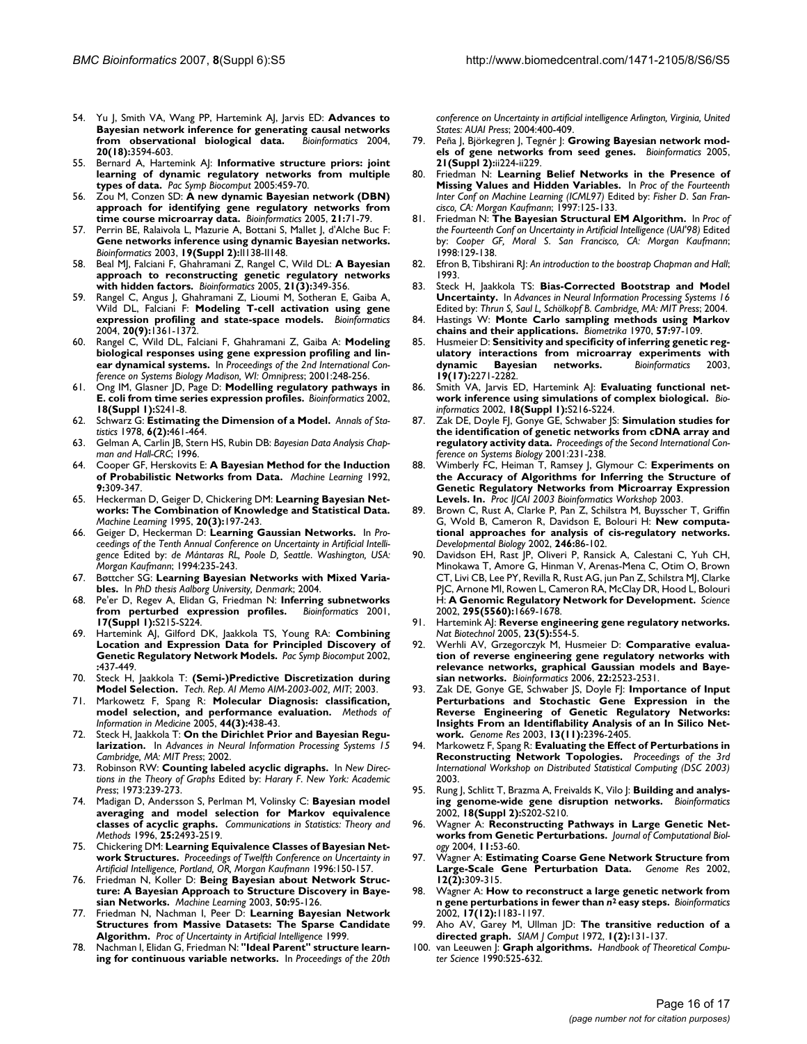- 54. Yu J, Smith VA, Wang PP, Hartemink AJ, Jarvis ED: **[Advances to](http://www.ncbi.nlm.nih.gov/entrez/query.fcgi?cmd=Retrieve&db=PubMed&dopt=Abstract&list_uids=15284094) [Bayesian network inference for generating causal networks](http://www.ncbi.nlm.nih.gov/entrez/query.fcgi?cmd=Retrieve&db=PubMed&dopt=Abstract&list_uids=15284094)** [from observational biological data.](http://www.ncbi.nlm.nih.gov/entrez/query.fcgi?cmd=Retrieve&db=PubMed&dopt=Abstract&list_uids=15284094) **20(18):**3594-603.
- 55. Bernard A, Hartemink AJ: **[Informative structure priors: joint](http://www.ncbi.nlm.nih.gov/entrez/query.fcgi?cmd=Retrieve&db=PubMed&dopt=Abstract&list_uids=15759651) [learning of dynamic regulatory networks from multiple](http://www.ncbi.nlm.nih.gov/entrez/query.fcgi?cmd=Retrieve&db=PubMed&dopt=Abstract&list_uids=15759651) [types of data.](http://www.ncbi.nlm.nih.gov/entrez/query.fcgi?cmd=Retrieve&db=PubMed&dopt=Abstract&list_uids=15759651)** *Pac Symp Biocomput* 2005:459-70.
- 56. Zou M, Conzen SD: **[A new dynamic Bayesian network \(DBN\)](http://www.ncbi.nlm.nih.gov/entrez/query.fcgi?cmd=Retrieve&db=PubMed&dopt=Abstract&list_uids=15308537) [approach for identifying gene regulatory networks from](http://www.ncbi.nlm.nih.gov/entrez/query.fcgi?cmd=Retrieve&db=PubMed&dopt=Abstract&list_uids=15308537) [time course microarray data.](http://www.ncbi.nlm.nih.gov/entrez/query.fcgi?cmd=Retrieve&db=PubMed&dopt=Abstract&list_uids=15308537)** *Bioinformatics* 2005, **21:**71-79.
- 57. Perrin BE, Ralaivola L, Mazurie A, Bottani S, Mallet J, d'Alche Buc F: **[Gene networks inference using dynamic Bayesian networks.](http://www.ncbi.nlm.nih.gov/entrez/query.fcgi?cmd=Retrieve&db=PubMed&dopt=Abstract&list_uids=14534183)** *Bioinformatics* 2003, **19(Suppl 2):**II138-II148.
- 58. Beal MJ, Falciani F, Ghahramani Z, Rangel C, Wild DL: **[A Bayesian](http://www.ncbi.nlm.nih.gov/entrez/query.fcgi?cmd=Retrieve&db=PubMed&dopt=Abstract&list_uids=15353451) [approach to reconstructing genetic regulatory networks](http://www.ncbi.nlm.nih.gov/entrez/query.fcgi?cmd=Retrieve&db=PubMed&dopt=Abstract&list_uids=15353451) [with hidden factors.](http://www.ncbi.nlm.nih.gov/entrez/query.fcgi?cmd=Retrieve&db=PubMed&dopt=Abstract&list_uids=15353451)** *Bioinformatics* 2005, **21(3):**349-356.
- Rangel C, Angus J, Ghahramani Z, Lioumi M, Sotheran E, Gaiba A, Wild DL, Falciani F: **[Modeling T-cell activation using gene](http://www.ncbi.nlm.nih.gov/entrez/query.fcgi?cmd=Retrieve&db=PubMed&dopt=Abstract&list_uids=14962938) [expression profiling and state-space models.](http://www.ncbi.nlm.nih.gov/entrez/query.fcgi?cmd=Retrieve&db=PubMed&dopt=Abstract&list_uids=14962938)** *Bioinformatics* 2004, **20(9):**1361-1372.
- 60. Rangel C, Wild DL, Falciani F, Ghahramani Z, Gaiba A: **Modeling biological responses using gene expression profiling and linear dynamical systems.** In *Proceedings of the 2nd International Conference on Systems Biology Madison, WI: Omnipress*; 2001:248-256.
- 61. Ong IM, Glasner JD, Page D: **[Modelling regulatory pathways in](http://www.ncbi.nlm.nih.gov/entrez/query.fcgi?cmd=Retrieve&db=PubMed&dopt=Abstract&list_uids=12169553) [E. coli from time series expression profiles.](http://www.ncbi.nlm.nih.gov/entrez/query.fcgi?cmd=Retrieve&db=PubMed&dopt=Abstract&list_uids=12169553)** *Bioinformatics* 2002, **18(Suppl 1):**S241-8.
- 62. Schwarz G: **Estimating the Dimension of a Model.** *Annals of Statistics* 1978, **6(2):**461-464.
- 63. Gelman A, Carlin JB, Stern HS, Rubin DB: *Bayesian Data Analysis Chapman and Hall-CRC*; 1996.
- 64. Cooper GF, Herskovits E: **A Bayesian Method for the Induction of Probabilistic Networks from Data.** *Machine Learning* 1992, **9:**309-347.
- 65. Heckerman D, Geiger D, Chickering DM: **Learning Bayesian Networks: The Combination of Knowledge and Statistical Data.** *Machine Learning* 1995, **20(3):**197-243.
- 66. Geiger D, Heckerman D: **Learning Gaussian Networks.** In *Proceedings of the Tenth Annual Conference on Uncertainty in Artificial Intelligence* Edited by: *de Mántaras RL, Poole D, Seattle*. *Washington, USA: Morgan Kaufmann*; 1994:235-243.
- 67. Bøttcher SG: **Learning Bayesian Networks with Mixed Variables.** In *PhD thesis Aalborg University, Denmark*; 2004.
- 68. Pe'er D, Regev A, Elidan G, Friedman N: **[Inferring subnetworks](http://www.ncbi.nlm.nih.gov/entrez/query.fcgi?cmd=Retrieve&db=PubMed&dopt=Abstract&list_uids=11473012) [from perturbed expression profiles.](http://www.ncbi.nlm.nih.gov/entrez/query.fcgi?cmd=Retrieve&db=PubMed&dopt=Abstract&list_uids=11473012)** *Bioinformatics* 2001, **17(Suppl 1):**S215-S224.
- 69. Hartemink AJ, Gilford DK, Jaakkola TS, Young RA: **[Combining](http://www.ncbi.nlm.nih.gov/entrez/query.fcgi?cmd=Retrieve&db=PubMed&dopt=Abstract&list_uids=11928497) [Location and Expression Data for Principled Discovery of](http://www.ncbi.nlm.nih.gov/entrez/query.fcgi?cmd=Retrieve&db=PubMed&dopt=Abstract&list_uids=11928497) [Genetic Regulatory Network Models.](http://www.ncbi.nlm.nih.gov/entrez/query.fcgi?cmd=Retrieve&db=PubMed&dopt=Abstract&list_uids=11928497)** *Pac Symp Biocomput* 2002, **:**437-449.
- 70. Steck H, Jaakkola T: **(Semi-)Predictive Discretization during Model Selection.** *Tech. Rep. AI Memo AIM-2003-002, MIT*; 2003.
- 71. Markowetz F, Spang R: **[Molecular Diagnosis: classification,](http://www.ncbi.nlm.nih.gov/entrez/query.fcgi?cmd=Retrieve&db=PubMed&dopt=Abstract&list_uids=16113770) [model selection, and performance evaluation.](http://www.ncbi.nlm.nih.gov/entrez/query.fcgi?cmd=Retrieve&db=PubMed&dopt=Abstract&list_uids=16113770)** *Methods of Information in Medicine* 2005, **44(3):**438-43.
- 72. Steck H, Jaakkola T: **On the Dirichlet Prior and Bayesian Regularization.** In *Advances in Neural Information Processing Systems 15 Cambridge, MA: MIT Press*; 2002.
- 73. Robinson RW: **Counting labeled acyclic digraphs.** In *New Directions in the Theory of Graphs* Edited by: *Harary F*. *New York: Academic Press*; 1973:239-273.
- 74. Madigan D, Andersson S, Perlman M, Volinsky C: **Bayesian model averaging and model selection for Markov equivalence classes of acyclic graphs.** *Communications in Statistics: Theory and Methods* 1996, **25:**2493-2519.
- 75. Chickering DM: **Learning Equivalence Classes of Bayesian Network Structures.** *Proceedings of Twelfth Conference on Uncertainty in Artificial Intelligence, Portland, OR, Morgan Kaufmann* 1996:150-157.
- 76. Friedman N, Koller D: **Being Bayesian about Network Structure: A Bayesian Approach to Structure Discovery in Bayesian Networks.** *Machine Learning* 2003, **50:**95-126.
- 77. Friedman N, Nachman I, Peer D: **Learning Bayesian Network Structures from Massive Datasets: The Sparse Candidate Algorithm.** *Proc of Uncertainty in Artificial Intelligence* 1999.
- 78. Nachman I, Elidan G, Friedman N: **"Ideal Parent" structure learning for continuous variable networks.** In *Proceedings of the 20th*

*conference on Uncertainty in artificial intelligence Arlington, Virginia, United States: AUAI Press*; 2004:400-409.

- 79. Peña J, Björkegren J, Tegnér J: **[Growing Bayesian network mod](http://www.ncbi.nlm.nih.gov/entrez/query.fcgi?cmd=Retrieve&db=PubMed&dopt=Abstract&list_uids=16204109)[els of gene networks from seed genes.](http://www.ncbi.nlm.nih.gov/entrez/query.fcgi?cmd=Retrieve&db=PubMed&dopt=Abstract&list_uids=16204109)** *Bioinformatics* 2005, **21(Suppl 2):**ii224-ii229.
- 80. Friedman N: **Learning Belief Networks in the Presence of Missing Values and Hidden Variables.** In *Proc of the Fourteenth Inter Conf on Machine Learning (ICML97)* Edited by: *Fisher D*. *San Francisco, CA: Morgan Kaufmann*; 1997:125-133.
- 81. Friedman N: **The Bayesian Structural EM Algorithm.** In *Proc of the Fourteenth Conf on Uncertainty in Artificial Intelligence (UAI'98)* Edited by: *Cooper GF, Moral S*. *San Francisco, CA: Morgan Kaufmann*; 1998:129-138.
- 82. Efron B, Tibshirani RJ: *An introduction to the boostrap Chapman and Hall*; 1993.
- 83. Steck H, Jaakkola TS: **Bias-Corrected Bootstrap and Model Uncertainty.** In *Advances in Neural Information Processing Systems 16* Edited by: *Thrun S, Saul L, Schölkopf B*. *Cambridge, MA: MIT Press*; 2004.
- 84. Hastings W: **Monte Carlo sampling methods using Markov chains and their applications.** *Biometrika* 1970, **57:**97-109.
- 85. Husmeier D: **[Sensitivity and specificity of inferring genetic reg](http://www.ncbi.nlm.nih.gov/entrez/query.fcgi?cmd=Retrieve&db=PubMed&dopt=Abstract&list_uids=14630656)**[ulatory interactions from microarray experiments with](http://www.ncbi.nlm.nih.gov/entrez/query.fcgi?cmd=Retrieve&db=PubMed&dopt=Abstract&list_uids=14630656)<br>dynamic **Bayesian networks.** Bioinformatics 2003. **[dynamic Bayesian networks.](http://www.ncbi.nlm.nih.gov/entrez/query.fcgi?cmd=Retrieve&db=PubMed&dopt=Abstract&list_uids=14630656)** *Bioinformatics* 2003, **19(17):**2271-2282.
- 86. Smith VA, Jarvis ED, Hartemink AJ: **[Evaluating functional net](http://www.ncbi.nlm.nih.gov/entrez/query.fcgi?cmd=Retrieve&db=PubMed&dopt=Abstract&list_uids=12169550)[work inference using simulations of complex biological.](http://www.ncbi.nlm.nih.gov/entrez/query.fcgi?cmd=Retrieve&db=PubMed&dopt=Abstract&list_uids=12169550)** *Bioinformatics* 2002, **18(Suppl 1):**S216-S224.
- 87. Zak DE, Doyle FJ, Gonye GE, Schwaber JS: **Simulation studies for the identification of genetic networks from cDNA array and regulatory activity data.** *Proceedings of the Second International Conference on Systems Biology* 2001:231-238.
- 88. Wimberly FC, Heiman T, Ramsey J, Glymour C: **Experiments on the Accuracy of Algorithms for Inferring the Structure of Genetic Regulatory Networks from Microarray Expression Levels. In.** *Proc IJCAI 2003 Bioinformatics Workshop* 2003.
- 89. Brown C, Rust A, Clarke P, Pan Z, Schilstra M, Buysscher T, Griffin G, Wold B, Cameron R, Davidson E, Bolouri H: **[New computa](http://www.ncbi.nlm.nih.gov/entrez/query.fcgi?cmd=Retrieve&db=PubMed&dopt=Abstract&list_uids=12027436)[tional approaches for analysis of cis-regulatory networks.](http://www.ncbi.nlm.nih.gov/entrez/query.fcgi?cmd=Retrieve&db=PubMed&dopt=Abstract&list_uids=12027436)** *Developmental Biology* 2002, **246:**86-102.
- 90. Davidson EH, Rast JP, Oliveri P, Ransick A, Calestani C, Yuh CH, Minokawa T, Amore G, Hinman V, Arenas-Mena C, Otim O, Brown CT, Livi CB, Lee PY, Revilla R, Rust AG, jun Pan Z, Schilstra MJ, Clarke PJC, Arnone MI, Rowen L, Cameron RA, McClay DR, Hood L, Bolouri H: **[A Genomic Regulatory Network for Development.](http://www.ncbi.nlm.nih.gov/entrez/query.fcgi?cmd=Retrieve&db=PubMed&dopt=Abstract&list_uids=11872831)** *Science* 2002, **295(5560):**1669-1678.
- 91. Hartemink AJ: **[Reverse engineering gene regulatory networks.](http://www.ncbi.nlm.nih.gov/entrez/query.fcgi?cmd=Retrieve&db=PubMed&dopt=Abstract&list_uids=15877071)** *Nat Biotechnol* 2005, **23(5):**554-5.
- 92. Werhli AV, Grzegorczyk M, Husmeier D: **[Comparative evalua](http://www.ncbi.nlm.nih.gov/entrez/query.fcgi?cmd=Retrieve&db=PubMed&dopt=Abstract&list_uids=16844710)[tion of reverse engineering gene regulatory networks with](http://www.ncbi.nlm.nih.gov/entrez/query.fcgi?cmd=Retrieve&db=PubMed&dopt=Abstract&list_uids=16844710) relevance networks, graphical Gaussian models and Baye[sian networks.](http://www.ncbi.nlm.nih.gov/entrez/query.fcgi?cmd=Retrieve&db=PubMed&dopt=Abstract&list_uids=16844710)** *Bioinformatics* 2006, **22:**2523-2531.
- 93. Zak DE, Gonye GE, Schwaber JS, Doyle FJ: **[Importance of Input](http://www.ncbi.nlm.nih.gov/entrez/query.fcgi?cmd=Retrieve&db=PubMed&dopt=Abstract&list_uids=14597654) [Perturbations and Stochastic Gene Expression in the](http://www.ncbi.nlm.nih.gov/entrez/query.fcgi?cmd=Retrieve&db=PubMed&dopt=Abstract&list_uids=14597654) Reverse Engineering of Genetic Regulatory Networks: Insights From an Identiflability Analysis of an In Silico Net[work.](http://www.ncbi.nlm.nih.gov/entrez/query.fcgi?cmd=Retrieve&db=PubMed&dopt=Abstract&list_uids=14597654)** *Genome Res* 2003, **13(11):**2396-2405.
- 94. Markowetz F, Spang R: **Evaluating the Effect of Perturbations in Reconstructing Network Topologies.** *Proceedings of the 3rd International Workshop on Distributed Statistical Computing (DSC 2003)* 2003.
- 95. Rung J, Schlitt T, Brazma A, Freivalds K, Vilo J: **[Building and analys](http://www.ncbi.nlm.nih.gov/entrez/query.fcgi?cmd=Retrieve&db=PubMed&dopt=Abstract&list_uids=12386004)[ing genome-wide gene disruption networks.](http://www.ncbi.nlm.nih.gov/entrez/query.fcgi?cmd=Retrieve&db=PubMed&dopt=Abstract&list_uids=12386004)** *Bioinformatics* 2002, **18(Suppl 2):**S202-S210.
- 96. Wagner A: **[Reconstructing Pathways in Large Genetic Net](http://www.ncbi.nlm.nih.gov/entrez/query.fcgi?cmd=Retrieve&db=PubMed&dopt=Abstract&list_uids=15072688)[works from Genetic Perturbations.](http://www.ncbi.nlm.nih.gov/entrez/query.fcgi?cmd=Retrieve&db=PubMed&dopt=Abstract&list_uids=15072688)** *Journal of Computational Biology* 2004, **11:**53-60.
- 97. Wagner A: **[Estimating Coarse Gene Network Structure from](http://www.ncbi.nlm.nih.gov/entrez/query.fcgi?cmd=Retrieve&db=PubMed&dopt=Abstract&list_uids=11827950) [Large-Scale Gene Perturbation Data.](http://www.ncbi.nlm.nih.gov/entrez/query.fcgi?cmd=Retrieve&db=PubMed&dopt=Abstract&list_uids=11827950)** *Genome Res* 2002, **12(2):**309-315.
- 98. Wagner A: **How to reconstruct a large genetic network from n gene perturbations in fewer than** *n***2 easy steps.** *Bioinformatics* 2002, **17(12):**1183-1197.
- Aho AV, Garey M, Ullman JD: The transitive reduction of a **directed graph.** *SIAM J Comput* 1972, **1(2):**131-137.
- 100. van Leeuwen J: **Graph algorithms.** *Handbook of Theoretical Computer Science* 1990:525-632.